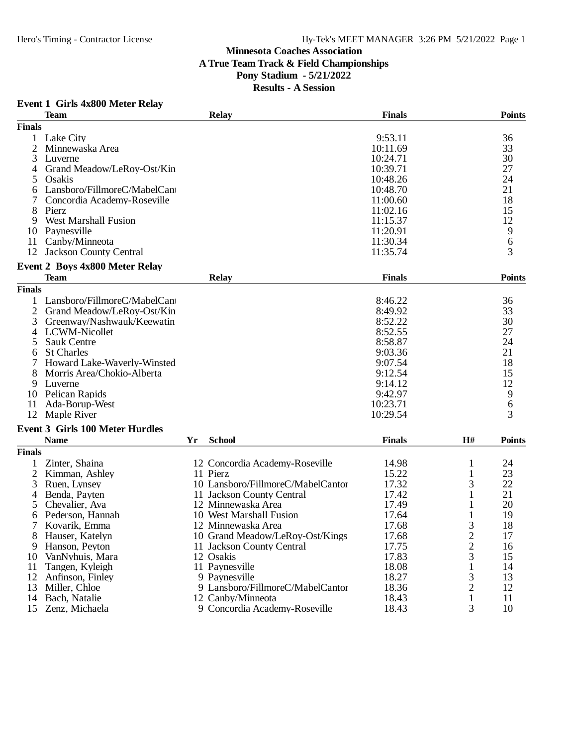## **Minnesota Coaches Association A True Team Track & Field Championships Pony Stadium - 5/21/2022 Results - A Session**

## **Event 1 Girls 4x800 Meter Relay**

|                | <b>Team</b>                            |    | <b>Relay</b>                      | <b>Finals</b> |                         | <b>Points</b> |
|----------------|----------------------------------------|----|-----------------------------------|---------------|-------------------------|---------------|
| <b>Finals</b>  |                                        |    |                                   |               |                         |               |
| 1              | Lake City                              |    |                                   | 9:53.11       |                         | 36            |
| $\overline{2}$ | Minnewaska Area                        |    |                                   | 10:11.69      |                         | 33            |
| 3              | Luverne                                |    |                                   | 10:24.71      |                         | 30            |
| 4              | Grand Meadow/LeRoy-Ost/Kin             |    |                                   | 10:39.71      |                         | 27            |
| 5              | Osakis                                 |    |                                   | 10:48.26      |                         | 24            |
| 6              | Lansboro/FillmoreC/MabelCant           |    |                                   | 10:48.70      |                         | 21            |
|                | Concordia Academy-Roseville            |    |                                   | 11:00.60      |                         | 18            |
| 8              | Pierz                                  |    |                                   | 11:02.16      |                         | 15            |
| 9              | <b>West Marshall Fusion</b>            |    |                                   | 11:15.37      |                         | 12            |
| 10             | Paynesville                            |    |                                   | 11:20.91      |                         | 9             |
|                |                                        |    |                                   |               |                         |               |
| 11             | Canby/Minneota                         |    |                                   | 11:30.34      |                         | 6             |
| 12             | <b>Jackson County Central</b>          |    |                                   | 11:35.74      |                         | 3             |
|                | Event 2 Boys 4x800 Meter Relay         |    |                                   |               |                         |               |
|                | <b>Team</b>                            |    | <b>Relay</b>                      | <b>Finals</b> |                         | <b>Points</b> |
| <b>Finals</b>  |                                        |    |                                   |               |                         |               |
|                | Lansboro/FillmoreC/MabelCan            |    |                                   | 8:46.22       |                         | 36            |
| 2              | Grand Meadow/LeRoy-Ost/Kin             |    |                                   | 8:49.92       |                         | 33            |
| 3              | Greenway/Nashwauk/Keewatin             |    |                                   | 8:52.22       |                         | 30            |
| 4              | LCWM-Nicollet                          |    |                                   | 8:52.55       |                         | 27            |
| 5              | Sauk Centre                            |    |                                   | 8:58.87       |                         | 24            |
| 6              | <b>St Charles</b>                      |    |                                   | 9:03.36       |                         | 21            |
| 7              | Howard Lake-Waverly-Winsted            |    |                                   | 9:07.54       |                         | 18            |
| 8              | Morris Area/Chokio-Alberta             |    |                                   | 9:12.54       |                         | 15            |
| 9              | Luverne                                |    |                                   | 9:14.12       |                         | 12            |
|                | Pelican Rapids                         |    |                                   | 9:42.97       |                         |               |
| 10             |                                        |    |                                   |               |                         | 9             |
| 11             | Ada-Borup-West                         |    |                                   | 10:23.71      |                         | 6             |
| 12             | Maple River                            |    |                                   | 10:29.54      |                         | 3             |
|                | <b>Event 3 Girls 100 Meter Hurdles</b> |    |                                   |               |                         |               |
|                | <b>Name</b>                            | Yr | <b>School</b>                     | <b>Finals</b> | H#                      | <b>Points</b> |
| <b>Finals</b>  |                                        |    |                                   |               |                         |               |
| 1              | Zinter, Shaina                         |    | 12 Concordia Academy-Roseville    | 14.98         | 1                       | 24            |
| 2              | Kimman, Ashley                         |    | 11 Pierz                          | 15.22         | 1                       | 23            |
| 3              | Ruen, Lynsey                           |    | 10 Lansboro/FillmoreC/MabelCantor | 17.32         | 3                       | 22            |
| 4              | Benda, Payten                          |    | 11 Jackson County Central         | 17.42         | 1                       | 21            |
| 5              | Chevalier, Ava                         |    | 12 Minnewaska Area                | 17.49         | 1                       | 20            |
| 6              | Pederson, Hannah                       |    | 10 West Marshall Fusion           | 17.64         | 1                       | 19            |
| 7              | Kovarik, Emma                          |    | 12 Minnewaska Area                | 17.68         | 3                       | 18            |
| 8              | Hauser, Katelyn                        |    | 10 Grand Meadow/LeRoy-Ost/Kings   | 17.68         | $\overline{\mathbf{c}}$ | 17            |
| 9              | Hanson, Peyton                         |    | 11 Jackson County Central         | 17.75         | $\overline{c}$          | 16            |
| 10             | VanNyhuis, Mara                        |    | 12 Osakis                         | 17.83         | 3                       | 15            |
| 11             | Tangen, Kyleigh                        |    | 11 Paynesville                    | 18.08         | $\mathbf{1}$            | 14            |
| 12             | Anfinson, Finley                       |    | 9 Paynesville                     | 18.27         | 3                       | 13            |
| 13             | Miller, Chloe                          |    | 9 Lansboro/FillmoreC/MabelCantor  | 18.36         | $\overline{c}$          | 12            |
|                | Bach, Natalie                          |    | 12 Canby/Minneota                 | 18.43         |                         | 11            |
| 14<br>15       | Zenz, Michaela                         |    | 9 Concordia Academy-Roseville     |               | 1<br>3                  |               |
|                |                                        |    |                                   | 18.43         |                         | 10            |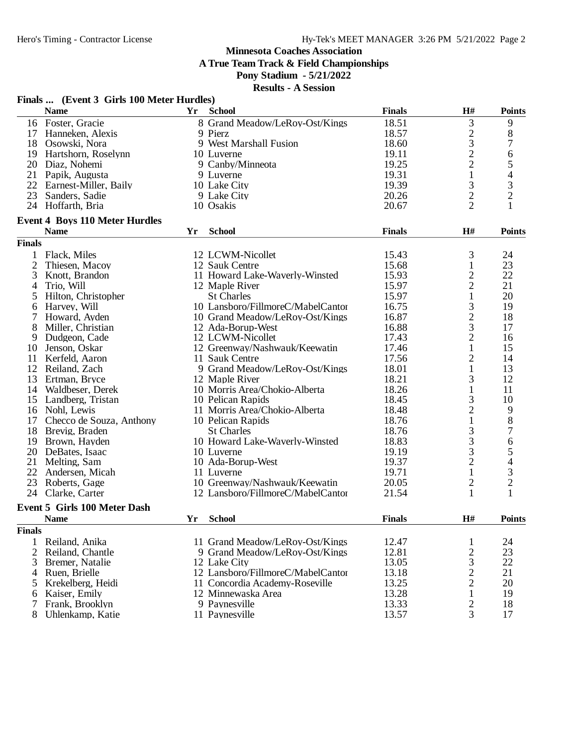**A True Team Track & Field Championships**

**Pony Stadium - 5/21/2022**

|                | Finals  (Event 3 Girls 100 Meter Hurdles) |    |                                                 |               |                                |                          |
|----------------|-------------------------------------------|----|-------------------------------------------------|---------------|--------------------------------|--------------------------|
|                | <b>Name</b>                               | Yr | <b>School</b>                                   | <b>Finals</b> | H#                             | <b>Points</b>            |
|                | 16 Foster, Gracie                         |    | 8 Grand Meadow/LeRoy-Ost/Kings                  | 18.51         | 3                              | 9                        |
|                | 17 Hanneken, Alexis                       |    | 9 Pierz                                         | 18.57         | $\overline{c}$                 | $8\,$                    |
|                | 18 Osowski, Nora                          |    | 9 West Marshall Fusion                          | 18.60         | 3                              | $\boldsymbol{7}$         |
|                | 19 Hartshorn, Roselynn                    |    | 10 Luverne                                      | 19.11         | $\overline{c}$                 | 6                        |
|                | 20 Diaz, Nohemi                           |    | 9 Canby/Minneota                                | 19.25         | $\overline{2}$                 | 5                        |
|                | 21 Papik, Augusta                         |    | 9 Luverne                                       | 19.31         | $\mathbf{1}$                   | $\overline{\mathcal{L}}$ |
|                | 22 Earnest-Miller, Baily                  |    | 10 Lake City                                    | 19.39         | 3                              | 3                        |
|                | 23 Sanders, Sadie                         |    | 9 Lake City                                     | 20.26         | $\overline{2}$                 | $\overline{2}$           |
|                | 24 Hoffarth, Bria                         |    | 10 Osakis                                       | 20.67         | $\overline{2}$                 | 1                        |
|                | <b>Event 4 Boys 110 Meter Hurdles</b>     |    |                                                 |               |                                |                          |
|                | <b>Name</b>                               | Yr | <b>School</b>                                   | <b>Finals</b> | H#                             | <b>Points</b>            |
| <b>Finals</b>  |                                           |    |                                                 |               |                                |                          |
| 1              | Flack, Miles                              |    | 12 LCWM-Nicollet                                | 15.43         | 3                              | 24                       |
| 2              | Thiesen, Macoy                            |    | 12 Sauk Centre                                  | 15.68         | $\mathbf{1}$                   | 23                       |
| 3              | Knott, Brandon                            |    | 11 Howard Lake-Waverly-Winsted                  | 15.93         | $\overline{c}$                 | 22                       |
| $\overline{4}$ | Trio, Will                                |    | 12 Maple River                                  | 15.97         | $\overline{c}$                 | 21                       |
| 5              | Hilton, Christopher                       |    | <b>St Charles</b>                               | 15.97         | $\mathbf{1}$                   | 20                       |
| 6              | Harvey, Will                              |    | 10 Lansboro/FillmoreC/MabelCantor               | 16.75         | 3                              | 19                       |
| 7              | Howard, Ayden                             |    | 10 Grand Meadow/LeRoy-Ost/Kings                 | 16.87         | $\overline{c}$                 | 18                       |
| 8              | Miller, Christian                         |    | 12 Ada-Borup-West                               | 16.88         | 3                              | 17                       |
| 9              | Dudgeon, Cade                             |    | 12 LCWM-Nicollet                                | 17.43         | $\overline{c}$                 | 16                       |
| 10             |                                           |    |                                                 | 17.46         | $\mathbf{1}$                   | 15                       |
|                | Jenson, Oskar                             |    | 12 Greenway/Nashwauk/Keewatin<br>11 Sauk Centre | 17.56         |                                | 14                       |
|                | 11 Kerfeld, Aaron                         |    |                                                 | 18.01         | $\overline{c}$<br>$\mathbf{1}$ | 13                       |
|                | 12 Reiland, Zach                          |    | 9 Grand Meadow/LeRoy-Ost/Kings                  |               |                                |                          |
| 13             | Ertman, Bryce                             |    | 12 Maple River                                  | 18.21         | 3                              | 12                       |
|                | 14 Waldbeser, Derek                       |    | 10 Morris Area/Chokio-Alberta                   | 18.26         | $\mathbf{1}$                   | 11                       |
|                | 15 Landberg, Tristan                      |    | 10 Pelican Rapids                               | 18.45         | 3                              | 10                       |
|                | 16 Nohl, Lewis                            |    | 11 Morris Area/Chokio-Alberta                   | 18.48         | $\overline{c}$                 | 9                        |
|                | 17 Checco de Souza, Anthony               |    | 10 Pelican Rapids                               | 18.76         | $\mathbf{1}$                   | $\,8\,$                  |
|                | 18 Brevig, Braden                         |    | <b>St Charles</b>                               | 18.76         | 3                              | $\boldsymbol{7}$         |
|                | 19 Brown, Hayden                          |    | 10 Howard Lake-Waverly-Winsted                  | 18.83         | 3                              | $\sqrt{6}$               |
|                | 20 DeBates, Isaac                         |    | 10 Luverne                                      | 19.19         | 3                              | 5                        |
| 21             | Melting, Sam                              |    | 10 Ada-Borup-West                               | 19.37         | $\overline{c}$                 | $\overline{4}$           |
|                | 22 Andersen, Micah                        |    | 11 Luverne                                      | 19.71         | $\mathbf{1}$                   | $\mathfrak{Z}$           |
|                | 23 Roberts, Gage                          |    | 10 Greenway/Nashwauk/Keewatin                   | 20.05         | $\overline{c}$                 | $\overline{\mathbf{c}}$  |
|                | 24 Clarke, Carter                         |    | 12 Lansboro/FillmoreC/MabelCantor               | 21.54         | 1                              | 1                        |
|                | <b>Event 5 Girls 100 Meter Dash</b>       |    |                                                 |               |                                |                          |
|                | <b>Name</b>                               | Yr | <b>School</b>                                   | <b>Finals</b> | $\mathbf{H}^{\#}$              | <b>Points</b>            |
| <b>Finals</b>  |                                           |    |                                                 |               |                                |                          |
| $\mathbf{1}$   | Reiland, Anika                            |    | 11 Grand Meadow/LeRoy-Ost/Kings                 | 12.47         | 1                              | 24                       |
| $\overline{2}$ | Reiland, Chantle                          |    | 9 Grand Meadow/LeRoy-Ost/Kings                  | 12.81         | $\overline{2}$                 | 23                       |
| 3              | Bremer, Natalie                           |    | 12 Lake City                                    | 13.05         | 3                              | 22                       |
| 4              | Ruen, Brielle                             |    | 12 Lansboro/FillmoreC/MabelCantor               | 13.18         | $\overline{c}$                 | 21                       |
| 5              | Krekelberg, Heidi                         |    | 11 Concordia Academy-Roseville                  | 13.25         | $\overline{2}$                 | 20                       |
| 6              | Kaiser, Emily                             |    | 12 Minnewaska Area                              | 13.28         | $\mathbf{1}$                   | 19                       |
| 7              | Frank, Brooklyn                           |    | 9 Paynesville                                   | 13.33         | 2                              | 18                       |
| 8              | Uhlenkamp, Katie                          |    | 11 Paynesville                                  | 13.57         | 3                              | 17                       |
|                |                                           |    |                                                 |               |                                |                          |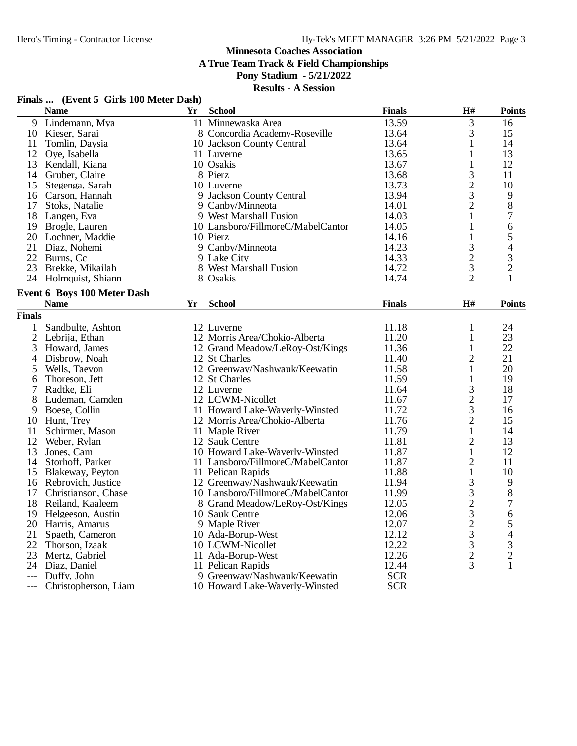**A True Team Track & Field Championships**

## **Pony Stadium - 5/21/2022**

|      | Finals  (Event 5 Girls 100 Meter Dash) |              |
|------|----------------------------------------|--------------|
| Nomo |                                        | $V_r$ Cohool |

|               | <b>Name</b>                 | Yr | <b>School</b>                     | <b>Finals</b> | H#               | <b>Points</b>                                   |
|---------------|-----------------------------|----|-----------------------------------|---------------|------------------|-------------------------------------------------|
|               | 9 Lindemann, Mya            |    | 11 Minnewaska Area                | 13.59         | 3                | 16                                              |
|               | 10 Kieser, Sarai            |    | 8 Concordia Academy-Roseville     | 13.64         | 3                | 15                                              |
| 11            | Tomlin, Daysia              |    | 10 Jackson County Central         | 13.64         | 1                | 14                                              |
|               | 12 Oye, Isabella            |    | 11 Luverne                        | 13.65         | 1                | 13                                              |
|               | 13 Kendall, Kiana           |    | 10 Osakis                         | 13.67         | $\mathbf{1}$     | 12                                              |
|               | 14 Gruber, Claire           |    | 8 Pierz                           | 13.68         | 3                | 11                                              |
|               | 15 Stegenga, Sarah          |    | 10 Luverne                        | 13.73         | $\frac{2}{3}$    | 10                                              |
|               | 16 Carson, Hannah           |    | 9 Jackson County Central          | 13.94         |                  | 9                                               |
| 17            | Stoks, Natalie              |    | 9 Canby/Minneota                  | 14.01         | $\overline{c}$   | $8\,$                                           |
|               | 18 Langen, Eva              |    | 9 West Marshall Fusion            | 14.03         | 1                | 7                                               |
|               | 19 Brogle, Lauren           |    | 10 Lansboro/FillmoreC/MabelCantor | 14.05         | 1                | 6                                               |
|               | 20 Lochner, Maddie          |    | 10 Pierz                          | 14.16         | $\mathbf{1}$     | 5                                               |
|               | 21 Diaz, Nohemi             |    | 9 Canby/Minneota                  | 14.23         | 3                | $\overline{4}$                                  |
|               | 22 Burns, Cc                |    | 9 Lake City                       | 14.33         | $\overline{c}$   |                                                 |
| 23            | Brekke, Mikailah            |    | 8 West Marshall Fusion            | 14.72         | 3                | $\frac{3}{2}$                                   |
|               | 24 Holmquist, Shiann        |    | 8 Osakis                          | 14.74         | $\overline{2}$   | 1                                               |
|               | Event 6 Boys 100 Meter Dash |    |                                   |               |                  |                                                 |
|               | <b>Name</b>                 | Yr | <b>School</b>                     | <b>Finals</b> | H#               | <b>Points</b>                                   |
| <b>Finals</b> |                             |    |                                   |               |                  |                                                 |
|               | 1 Sandbulte, Ashton         |    | 12 Luverne                        | 11.18         | 1                | 24                                              |
| 2             | Lebrija, Ethan              |    | 12 Morris Area/Chokio-Alberta     | 11.20         | 1                | 23                                              |
| 3             | Howard, James               |    | 12 Grand Meadow/LeRoy-Ost/Kings   | 11.36         | 1                | 22                                              |
| 4             | Disbrow, Noah               |    | 12 St Charles                     | 11.40         | $\overline{2}$   | 21                                              |
| 5             | Wells, Taevon               |    | 12 Greenway/Nashwauk/Keewatin     | 11.58         | 1                | 20                                              |
| 6             | Thoreson, Jett              |    | 12 St Charles                     | 11.59         | 1                | 19                                              |
| 7             | Radtke, Eli                 |    | 12 Luverne                        | 11.64         | 3                | 18                                              |
| 8             | Ludeman, Camden             |    | 12 LCWM-Nicollet                  | 11.67         | $\frac{2}{3}$    | 17                                              |
| 9             | Boese, Collin               |    | 11 Howard Lake-Waverly-Winsted    | 11.72         |                  | 16                                              |
|               | 10 Hunt, Trey               |    | 12 Morris Area/Chokio-Alberta     | 11.76         | $\overline{c}$   | 15                                              |
| 11            | Schirmer, Mason             |    | 11 Maple River                    | 11.79         | 1                | 14                                              |
|               | 12 Weber, Rylan             |    | 12 Sauk Centre                    | 11.81         | $\overline{2}$   | 13                                              |
| 13            | Jones, Cam                  |    | 10 Howard Lake-Waverly-Winsted    | 11.87         | $\mathbf{1}$     | 12                                              |
|               | 14 Storhoff, Parker         |    | 11 Lansboro/FillmoreC/MabelCantor | 11.87         | $\overline{2}$   | 11                                              |
|               | 15 Blakeway, Peyton         |    | 11 Pelican Rapids                 | 11.88         | $\mathbf{1}$     | 10                                              |
|               | 16 Rebrovich, Justice       |    | 12 Greenway/Nashwauk/Keewatin     | 11.94         | 3                | 9                                               |
|               | 17 Christianson, Chase      |    | 10 Lansboro/FillmoreC/MabelCantor | 11.99         |                  | $8\,$                                           |
|               | 18 Reiland, Kaaleem         |    | 8 Grand Meadow/LeRoy-Ost/Kings    | 12.05         | $32323$<br>$332$ | 7                                               |
|               | 19 Helgeeson, Austin        |    | 10 Sauk Centre                    | 12.06         |                  | $\boldsymbol{6}$                                |
|               | 20 Harris, Amarus           |    | 9 Maple River                     | 12.07         |                  |                                                 |
| 21            | Spaeth, Cameron             |    | 10 Ada-Borup-West                 | 12.12         |                  | $\begin{array}{c} 5 \\ 4 \\ 3 \\ 2 \end{array}$ |
|               | 22 Thorson, Izaak           |    | 10 LCWM-Nicollet                  | 12.22         |                  |                                                 |
| 23            | Mertz, Gabriel              |    | 11 Ada-Borup-West                 | 12.26         |                  |                                                 |
|               | 24 Diaz, Daniel             |    | 11 Pelican Rapids                 | 12.44         | 3                | $\mathbf{1}$                                    |
| $---$         | Duffy, John                 |    | 9 Greenway/Nashwauk/Keewatin      | <b>SCR</b>    |                  |                                                 |
|               | Christopherson, Liam        |    | 10 Howard Lake-Waverly-Winsted    | <b>SCR</b>    |                  |                                                 |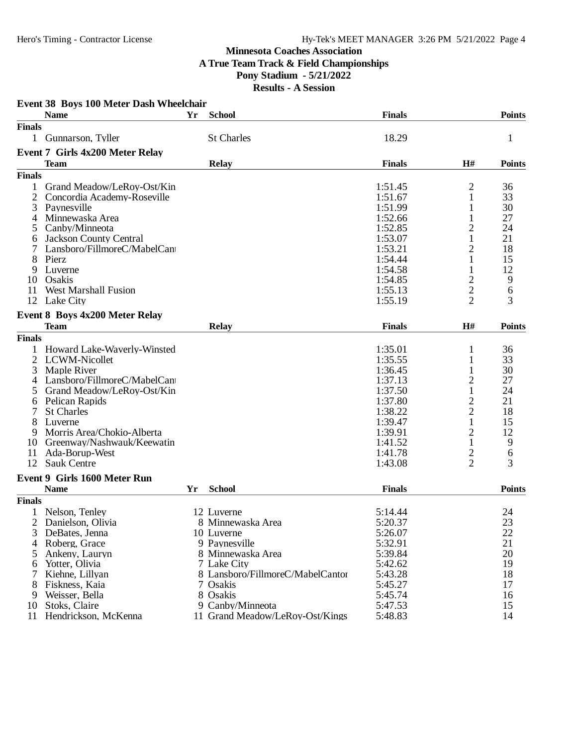### **Minnesota Coaches Association A True Team Track & Field Championships Pony Stadium - 5/21/2022 Results - A Session**

|                | Event 38 Boys 100 Meter Dash Wheelchair<br><b>Name</b> | Yr | <b>School</b>                    | <b>Finals</b> |                     | <b>Points</b> |
|----------------|--------------------------------------------------------|----|----------------------------------|---------------|---------------------|---------------|
| <b>Finals</b>  |                                                        |    |                                  |               |                     |               |
|                | 1 Gunnarson, Tyller                                    |    | <b>St Charles</b>                | 18.29         |                     | 1             |
|                | <b>Event 7 Girls 4x200 Meter Relay</b>                 |    |                                  |               |                     |               |
|                | <b>Team</b>                                            |    | <b>Relay</b>                     | <b>Finals</b> | H#                  | <b>Points</b> |
| <b>Finals</b>  |                                                        |    |                                  |               |                     |               |
| 1              | Grand Meadow/LeRoy-Ost/Kin                             |    |                                  | 1:51.45       | 2                   | 36            |
|                | Concordia Academy-Roseville                            |    |                                  | 1:51.67       | 1                   | 33            |
| 3              | Paynesville                                            |    |                                  | 1:51.99       | 1                   | 30            |
|                | Minnewaska Area                                        |    |                                  | 1:52.66       | 1                   | 27            |
| 4              | Canby/Minneota                                         |    |                                  | 1:52.85       |                     | 24            |
| 5              |                                                        |    |                                  |               | $\overline{c}$<br>1 | 21            |
| 6              | <b>Jackson County Central</b>                          |    |                                  | 1:53.07       |                     |               |
|                | Lansboro/FillmoreC/MabelCant                           |    |                                  | 1:53.21       | 2                   | 18            |
| 8              | Pierz                                                  |    |                                  | 1:54.44       | 1                   | 15            |
| 9              | Luverne                                                |    |                                  | 1:54.58       | 1                   | 12            |
| 10             | Osakis                                                 |    |                                  | 1:54.85       | $\overline{c}$      | 9             |
| 11             | <b>West Marshall Fusion</b>                            |    |                                  | 1:55.13       | $\overline{c}$      | 6             |
|                | 12 Lake City                                           |    |                                  | 1:55.19       | $\overline{2}$      | 3             |
|                | <b>Event 8 Boys 4x200 Meter Relay</b>                  |    |                                  |               |                     |               |
|                | <b>Team</b>                                            |    | <b>Relay</b>                     | <b>Finals</b> | H#                  | <b>Points</b> |
| <b>Finals</b>  |                                                        |    |                                  |               |                     |               |
|                | Howard Lake-Waverly-Winsted                            |    |                                  | 1:35.01       | 1                   | 36            |
| $\overline{2}$ | LCWM-Nicollet                                          |    |                                  | 1:35.55       | 1                   | 33            |
| 3              | Maple River                                            |    |                                  | 1:36.45       | 1                   | 30            |
| 4              | Lansboro/FillmoreC/MabelCant                           |    |                                  | 1:37.13       | 2                   | 27            |
| 5              | Grand Meadow/LeRoy-Ost/Kin                             |    |                                  | 1:37.50       | 1                   | 24            |
| 6              | Pelican Rapids                                         |    |                                  | 1:37.80       | $\overline{c}$      | 21            |
|                | <b>St Charles</b>                                      |    |                                  | 1:38.22       | $\overline{c}$      | 18            |
|                | Luverne                                                |    |                                  | 1:39.47       | $\mathbf{1}$        | 15            |
| 9              | Morris Area/Chokio-Alberta                             |    |                                  | 1:39.91       | $\overline{c}$      | 12            |
| 10             | Greenway/Nashwauk/Keewatin                             |    |                                  | 1:41.52       | 1                   | 9             |
| 11             | Ada-Borup-West                                         |    |                                  | 1:41.78       | 2                   |               |
| 12             | <b>Sauk Centre</b>                                     |    |                                  |               | 2                   | 6<br>3        |
|                |                                                        |    |                                  | 1:43.08       |                     |               |
|                | <b>Event 9 Girls 1600 Meter Run</b>                    |    |                                  |               |                     |               |
|                | <b>Name</b>                                            | Yr | <b>School</b>                    | <b>Finals</b> |                     | <b>Points</b> |
| <b>Finals</b>  |                                                        |    |                                  |               |                     |               |
|                | Nelson, Tenley                                         |    | 12 Luverne                       | 5:14.44       |                     | 24            |
|                | 2 Danielson, Olivia                                    |    | 8 Minnewaska Area                | 5:20.37       |                     | 23            |
| 3              | DeBates, Jenna                                         |    | 10 Luverne                       | 5:26.07       |                     | 22            |
| 4              | Roberg, Grace                                          |    | 9 Paynesville                    | 5:32.91       |                     | 21            |
|                | Ankeny, Lauryn                                         |    | 8 Minnewaska Area                | 5:39.84       |                     | 20            |
| 6              | Yotter, Olivia                                         |    | 7 Lake City                      | 5:42.62       |                     | 19            |
|                | Kiehne, Lillyan                                        |    | 8 Lansboro/FillmoreC/MabelCantor | 5:43.28       |                     | 18            |
|                | Fiskness, Kaia                                         |    | 7 Osakis                         | 5:45.27       |                     | 17            |
| 9              | Weisser, Bella                                         |    | 8 Osakis                         | 5:45.74       |                     | 16            |
| 10             | Stoks, Claire                                          |    | 9 Canby/Minneota                 | 5:47.53       |                     | 15            |
| 11             | Hendrickson, McKenna                                   |    | 11 Grand Meadow/LeRoy-Ost/Kings  | 5:48.83       |                     | 14            |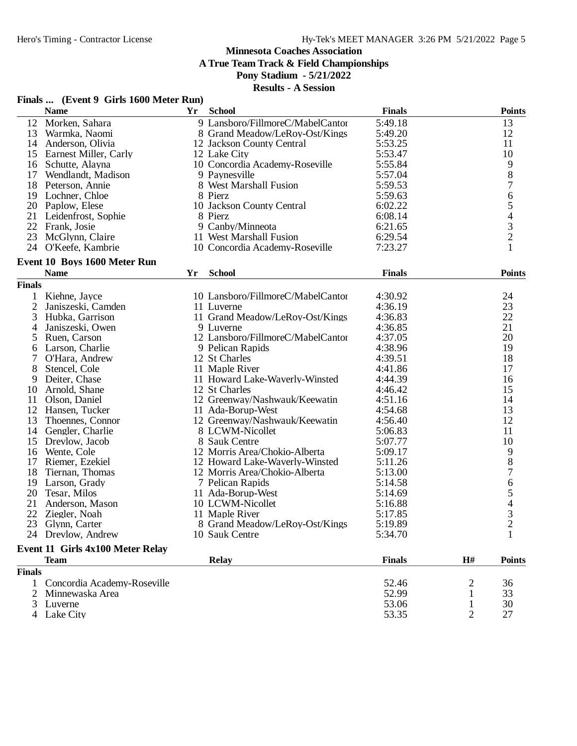**A True Team Track & Field Championships**

## **Pony Stadium - 5/21/2022**

|  | Finals  (Event 9 Girls 1600 Meter Run) |  |  |  |  |
|--|----------------------------------------|--|--|--|--|
|--|----------------------------------------|--|--|--|--|

| 5:49.18<br>13<br>Morken, Sahara<br>9 Lansboro/FillmoreC/MabelCantor<br>12<br>12<br>13<br>Warmka, Naomi<br>8 Grand Meadow/LeRoy-Ost/Kings<br>5:49.20<br>5:53.25<br>11<br>14<br>Anderson, Olivia<br>12 Jackson County Central<br>10<br>5:53.47<br>15<br>Earnest Miller, Carly<br>12 Lake City<br>$\begin{array}{c} 9 \\ 8 \end{array}$<br>10 Concordia Academy-Roseville<br>5:55.84<br>16 Schutte, Alayna<br>9 Paynesville<br>5:57.04<br>17<br>Wendlandt, Madison<br>$\overline{7}$<br>8 West Marshall Fusion<br>18<br>5:59.53<br>Peterson, Annie<br>$\boldsymbol{6}$<br>19<br>Lochner, Chloe<br>8 Pierz<br>5:59.63<br>5<br>20<br>6:02.22<br>Paplow, Elese<br>10 Jackson County Central<br>$\begin{array}{c} 4 \\ 3 \\ 2 \end{array}$<br>21<br>8 Pierz<br>6:08.14<br>Leidenfrost, Sophie<br>22 Frank, Josie<br>9 Canby/Minneota<br>6:21.65<br>23<br>11 West Marshall Fusion<br>McGlynn, Claire<br>6:29.54<br>$\mathbf{1}$<br>24<br>O'Keefe, Kambrie<br>7:23.27<br>10 Concordia Academy-Roseville<br>Event 10 Boys 1600 Meter Run<br><b>Name</b><br><b>School</b><br><b>Finals</b><br><b>Points</b><br>Yr<br><b>Finals</b><br>10 Lansboro/FillmoreC/MabelCantor<br>4:30.92<br>24<br>Kiehne, Jayce<br>1<br>$\mathfrak{2}$<br>23<br>4:36.19<br>Janiszeski, Camden<br>11 Luverne<br>22<br>11 Grand Meadow/LeRoy-Ost/Kings<br>4:36.83<br>3<br>Hubka, Garrison<br>21<br>Janiszeski, Owen<br>9 Luverne<br>4:36.85<br>4<br>20<br>12 Lansboro/FillmoreC/MabelCantor<br>4:37.05<br>5<br>Ruen, Carson<br>19<br>4:38.96<br>Larson, Charlie<br>9 Pelican Rapids<br>6<br>18<br>12 St Charles<br>4:39.51<br>O'Hara, Andrew<br>17<br>8<br>Stencel, Cole<br>11 Maple River<br>4:41.86<br>11 Howard Lake-Waverly-Winsted<br>4:44.39<br>16<br>Deiter, Chase<br>9<br>15<br>Arnold, Shane<br>12 St Charles<br>4:46.42<br>10<br>14<br>Olson, Daniel<br>12 Greenway/Nashwauk/Keewatin<br>4:51.16<br>11<br>13<br>12<br>4:54.68<br>Hansen, Tucker<br>11 Ada-Borup-West<br>12<br>13<br>Thoennes, Connor<br>12 Greenway/Nashwauk/Keewatin<br>4:56.40<br>11<br>14<br>Gengler, Charlie<br>8 LCWM-Nicollet<br>5:06.83<br>10<br>15<br>Drevlow, Jacob<br>5:07.77<br>8 Sauk Centre<br>9<br>Wente, Cole<br>12 Morris Area/Chokio-Alberta<br>16<br>5:09.17<br>$8\,$<br>17<br>Riemer, Ezekiel<br>12 Howard Lake-Waverly-Winsted<br>5:11.26<br>$\overline{7}$<br>18<br>5:13.00<br>Tiernan, Thomas<br>12 Morris Area/Chokio-Alberta<br>6<br>19<br>5:14.58<br>Larson, Grady<br>7 Pelican Rapids<br>5<br>4<br>3<br>20<br>5:14.69<br>Tesar, Milos<br>11 Ada-Borup-West<br>21<br>10 LCWM-Nicollet<br>Anderson, Mason<br>5:16.88<br>22<br>11 Maple River<br>5:17.85<br>Ziegler, Noah<br>$\overline{2}$<br>23<br>8 Grand Meadow/LeRoy-Ost/Kings<br>5:19.89<br>Glynn, Carter<br>24 Drevlow, Andrew<br>10 Sauk Centre<br>5:34.70<br>$\mathbf{1}$<br>Event 11 Girls 4x100 Meter Relay<br>H#<br><b>Team</b><br><b>Relay</b><br><b>Finals</b><br><b>Points</b><br><b>Finals</b><br>Concordia Academy-Roseville<br>52.46<br>36<br>1<br>2<br>52.99<br>Minnewaska Area<br>33<br>2<br>1<br>53.06<br>30<br>Luverne<br>1<br>3<br>$\overline{2}$<br>Lake City<br>53.35<br>27 | <b>Name</b> | Yr | <b>School</b> | <b>Finals</b> | <b>Points</b> |
|--------------------------------------------------------------------------------------------------------------------------------------------------------------------------------------------------------------------------------------------------------------------------------------------------------------------------------------------------------------------------------------------------------------------------------------------------------------------------------------------------------------------------------------------------------------------------------------------------------------------------------------------------------------------------------------------------------------------------------------------------------------------------------------------------------------------------------------------------------------------------------------------------------------------------------------------------------------------------------------------------------------------------------------------------------------------------------------------------------------------------------------------------------------------------------------------------------------------------------------------------------------------------------------------------------------------------------------------------------------------------------------------------------------------------------------------------------------------------------------------------------------------------------------------------------------------------------------------------------------------------------------------------------------------------------------------------------------------------------------------------------------------------------------------------------------------------------------------------------------------------------------------------------------------------------------------------------------------------------------------------------------------------------------------------------------------------------------------------------------------------------------------------------------------------------------------------------------------------------------------------------------------------------------------------------------------------------------------------------------------------------------------------------------------------------------------------------------------------------------------------------------------------------------------------------------------------------------------------------------------------------------------------------------------------------------------------------------------------------------------------------------------------------------------------------------------------------------------------------------------------------------------------------------------------------------------------------------------------------------------------------------------------------------------------------------------------------------------------------------------|-------------|----|---------------|---------------|---------------|
|                                                                                                                                                                                                                                                                                                                                                                                                                                                                                                                                                                                                                                                                                                                                                                                                                                                                                                                                                                                                                                                                                                                                                                                                                                                                                                                                                                                                                                                                                                                                                                                                                                                                                                                                                                                                                                                                                                                                                                                                                                                                                                                                                                                                                                                                                                                                                                                                                                                                                                                                                                                                                                                                                                                                                                                                                                                                                                                                                                                                                                                                                                                    |             |    |               |               |               |
|                                                                                                                                                                                                                                                                                                                                                                                                                                                                                                                                                                                                                                                                                                                                                                                                                                                                                                                                                                                                                                                                                                                                                                                                                                                                                                                                                                                                                                                                                                                                                                                                                                                                                                                                                                                                                                                                                                                                                                                                                                                                                                                                                                                                                                                                                                                                                                                                                                                                                                                                                                                                                                                                                                                                                                                                                                                                                                                                                                                                                                                                                                                    |             |    |               |               |               |
|                                                                                                                                                                                                                                                                                                                                                                                                                                                                                                                                                                                                                                                                                                                                                                                                                                                                                                                                                                                                                                                                                                                                                                                                                                                                                                                                                                                                                                                                                                                                                                                                                                                                                                                                                                                                                                                                                                                                                                                                                                                                                                                                                                                                                                                                                                                                                                                                                                                                                                                                                                                                                                                                                                                                                                                                                                                                                                                                                                                                                                                                                                                    |             |    |               |               |               |
|                                                                                                                                                                                                                                                                                                                                                                                                                                                                                                                                                                                                                                                                                                                                                                                                                                                                                                                                                                                                                                                                                                                                                                                                                                                                                                                                                                                                                                                                                                                                                                                                                                                                                                                                                                                                                                                                                                                                                                                                                                                                                                                                                                                                                                                                                                                                                                                                                                                                                                                                                                                                                                                                                                                                                                                                                                                                                                                                                                                                                                                                                                                    |             |    |               |               |               |
|                                                                                                                                                                                                                                                                                                                                                                                                                                                                                                                                                                                                                                                                                                                                                                                                                                                                                                                                                                                                                                                                                                                                                                                                                                                                                                                                                                                                                                                                                                                                                                                                                                                                                                                                                                                                                                                                                                                                                                                                                                                                                                                                                                                                                                                                                                                                                                                                                                                                                                                                                                                                                                                                                                                                                                                                                                                                                                                                                                                                                                                                                                                    |             |    |               |               |               |
|                                                                                                                                                                                                                                                                                                                                                                                                                                                                                                                                                                                                                                                                                                                                                                                                                                                                                                                                                                                                                                                                                                                                                                                                                                                                                                                                                                                                                                                                                                                                                                                                                                                                                                                                                                                                                                                                                                                                                                                                                                                                                                                                                                                                                                                                                                                                                                                                                                                                                                                                                                                                                                                                                                                                                                                                                                                                                                                                                                                                                                                                                                                    |             |    |               |               |               |
|                                                                                                                                                                                                                                                                                                                                                                                                                                                                                                                                                                                                                                                                                                                                                                                                                                                                                                                                                                                                                                                                                                                                                                                                                                                                                                                                                                                                                                                                                                                                                                                                                                                                                                                                                                                                                                                                                                                                                                                                                                                                                                                                                                                                                                                                                                                                                                                                                                                                                                                                                                                                                                                                                                                                                                                                                                                                                                                                                                                                                                                                                                                    |             |    |               |               |               |
|                                                                                                                                                                                                                                                                                                                                                                                                                                                                                                                                                                                                                                                                                                                                                                                                                                                                                                                                                                                                                                                                                                                                                                                                                                                                                                                                                                                                                                                                                                                                                                                                                                                                                                                                                                                                                                                                                                                                                                                                                                                                                                                                                                                                                                                                                                                                                                                                                                                                                                                                                                                                                                                                                                                                                                                                                                                                                                                                                                                                                                                                                                                    |             |    |               |               |               |
|                                                                                                                                                                                                                                                                                                                                                                                                                                                                                                                                                                                                                                                                                                                                                                                                                                                                                                                                                                                                                                                                                                                                                                                                                                                                                                                                                                                                                                                                                                                                                                                                                                                                                                                                                                                                                                                                                                                                                                                                                                                                                                                                                                                                                                                                                                                                                                                                                                                                                                                                                                                                                                                                                                                                                                                                                                                                                                                                                                                                                                                                                                                    |             |    |               |               |               |
|                                                                                                                                                                                                                                                                                                                                                                                                                                                                                                                                                                                                                                                                                                                                                                                                                                                                                                                                                                                                                                                                                                                                                                                                                                                                                                                                                                                                                                                                                                                                                                                                                                                                                                                                                                                                                                                                                                                                                                                                                                                                                                                                                                                                                                                                                                                                                                                                                                                                                                                                                                                                                                                                                                                                                                                                                                                                                                                                                                                                                                                                                                                    |             |    |               |               |               |
|                                                                                                                                                                                                                                                                                                                                                                                                                                                                                                                                                                                                                                                                                                                                                                                                                                                                                                                                                                                                                                                                                                                                                                                                                                                                                                                                                                                                                                                                                                                                                                                                                                                                                                                                                                                                                                                                                                                                                                                                                                                                                                                                                                                                                                                                                                                                                                                                                                                                                                                                                                                                                                                                                                                                                                                                                                                                                                                                                                                                                                                                                                                    |             |    |               |               |               |
|                                                                                                                                                                                                                                                                                                                                                                                                                                                                                                                                                                                                                                                                                                                                                                                                                                                                                                                                                                                                                                                                                                                                                                                                                                                                                                                                                                                                                                                                                                                                                                                                                                                                                                                                                                                                                                                                                                                                                                                                                                                                                                                                                                                                                                                                                                                                                                                                                                                                                                                                                                                                                                                                                                                                                                                                                                                                                                                                                                                                                                                                                                                    |             |    |               |               |               |
|                                                                                                                                                                                                                                                                                                                                                                                                                                                                                                                                                                                                                                                                                                                                                                                                                                                                                                                                                                                                                                                                                                                                                                                                                                                                                                                                                                                                                                                                                                                                                                                                                                                                                                                                                                                                                                                                                                                                                                                                                                                                                                                                                                                                                                                                                                                                                                                                                                                                                                                                                                                                                                                                                                                                                                                                                                                                                                                                                                                                                                                                                                                    |             |    |               |               |               |
|                                                                                                                                                                                                                                                                                                                                                                                                                                                                                                                                                                                                                                                                                                                                                                                                                                                                                                                                                                                                                                                                                                                                                                                                                                                                                                                                                                                                                                                                                                                                                                                                                                                                                                                                                                                                                                                                                                                                                                                                                                                                                                                                                                                                                                                                                                                                                                                                                                                                                                                                                                                                                                                                                                                                                                                                                                                                                                                                                                                                                                                                                                                    |             |    |               |               |               |
|                                                                                                                                                                                                                                                                                                                                                                                                                                                                                                                                                                                                                                                                                                                                                                                                                                                                                                                                                                                                                                                                                                                                                                                                                                                                                                                                                                                                                                                                                                                                                                                                                                                                                                                                                                                                                                                                                                                                                                                                                                                                                                                                                                                                                                                                                                                                                                                                                                                                                                                                                                                                                                                                                                                                                                                                                                                                                                                                                                                                                                                                                                                    |             |    |               |               |               |
|                                                                                                                                                                                                                                                                                                                                                                                                                                                                                                                                                                                                                                                                                                                                                                                                                                                                                                                                                                                                                                                                                                                                                                                                                                                                                                                                                                                                                                                                                                                                                                                                                                                                                                                                                                                                                                                                                                                                                                                                                                                                                                                                                                                                                                                                                                                                                                                                                                                                                                                                                                                                                                                                                                                                                                                                                                                                                                                                                                                                                                                                                                                    |             |    |               |               |               |
|                                                                                                                                                                                                                                                                                                                                                                                                                                                                                                                                                                                                                                                                                                                                                                                                                                                                                                                                                                                                                                                                                                                                                                                                                                                                                                                                                                                                                                                                                                                                                                                                                                                                                                                                                                                                                                                                                                                                                                                                                                                                                                                                                                                                                                                                                                                                                                                                                                                                                                                                                                                                                                                                                                                                                                                                                                                                                                                                                                                                                                                                                                                    |             |    |               |               |               |
|                                                                                                                                                                                                                                                                                                                                                                                                                                                                                                                                                                                                                                                                                                                                                                                                                                                                                                                                                                                                                                                                                                                                                                                                                                                                                                                                                                                                                                                                                                                                                                                                                                                                                                                                                                                                                                                                                                                                                                                                                                                                                                                                                                                                                                                                                                                                                                                                                                                                                                                                                                                                                                                                                                                                                                                                                                                                                                                                                                                                                                                                                                                    |             |    |               |               |               |
|                                                                                                                                                                                                                                                                                                                                                                                                                                                                                                                                                                                                                                                                                                                                                                                                                                                                                                                                                                                                                                                                                                                                                                                                                                                                                                                                                                                                                                                                                                                                                                                                                                                                                                                                                                                                                                                                                                                                                                                                                                                                                                                                                                                                                                                                                                                                                                                                                                                                                                                                                                                                                                                                                                                                                                                                                                                                                                                                                                                                                                                                                                                    |             |    |               |               |               |
|                                                                                                                                                                                                                                                                                                                                                                                                                                                                                                                                                                                                                                                                                                                                                                                                                                                                                                                                                                                                                                                                                                                                                                                                                                                                                                                                                                                                                                                                                                                                                                                                                                                                                                                                                                                                                                                                                                                                                                                                                                                                                                                                                                                                                                                                                                                                                                                                                                                                                                                                                                                                                                                                                                                                                                                                                                                                                                                                                                                                                                                                                                                    |             |    |               |               |               |
|                                                                                                                                                                                                                                                                                                                                                                                                                                                                                                                                                                                                                                                                                                                                                                                                                                                                                                                                                                                                                                                                                                                                                                                                                                                                                                                                                                                                                                                                                                                                                                                                                                                                                                                                                                                                                                                                                                                                                                                                                                                                                                                                                                                                                                                                                                                                                                                                                                                                                                                                                                                                                                                                                                                                                                                                                                                                                                                                                                                                                                                                                                                    |             |    |               |               |               |
|                                                                                                                                                                                                                                                                                                                                                                                                                                                                                                                                                                                                                                                                                                                                                                                                                                                                                                                                                                                                                                                                                                                                                                                                                                                                                                                                                                                                                                                                                                                                                                                                                                                                                                                                                                                                                                                                                                                                                                                                                                                                                                                                                                                                                                                                                                                                                                                                                                                                                                                                                                                                                                                                                                                                                                                                                                                                                                                                                                                                                                                                                                                    |             |    |               |               |               |
|                                                                                                                                                                                                                                                                                                                                                                                                                                                                                                                                                                                                                                                                                                                                                                                                                                                                                                                                                                                                                                                                                                                                                                                                                                                                                                                                                                                                                                                                                                                                                                                                                                                                                                                                                                                                                                                                                                                                                                                                                                                                                                                                                                                                                                                                                                                                                                                                                                                                                                                                                                                                                                                                                                                                                                                                                                                                                                                                                                                                                                                                                                                    |             |    |               |               |               |
|                                                                                                                                                                                                                                                                                                                                                                                                                                                                                                                                                                                                                                                                                                                                                                                                                                                                                                                                                                                                                                                                                                                                                                                                                                                                                                                                                                                                                                                                                                                                                                                                                                                                                                                                                                                                                                                                                                                                                                                                                                                                                                                                                                                                                                                                                                                                                                                                                                                                                                                                                                                                                                                                                                                                                                                                                                                                                                                                                                                                                                                                                                                    |             |    |               |               |               |
|                                                                                                                                                                                                                                                                                                                                                                                                                                                                                                                                                                                                                                                                                                                                                                                                                                                                                                                                                                                                                                                                                                                                                                                                                                                                                                                                                                                                                                                                                                                                                                                                                                                                                                                                                                                                                                                                                                                                                                                                                                                                                                                                                                                                                                                                                                                                                                                                                                                                                                                                                                                                                                                                                                                                                                                                                                                                                                                                                                                                                                                                                                                    |             |    |               |               |               |
|                                                                                                                                                                                                                                                                                                                                                                                                                                                                                                                                                                                                                                                                                                                                                                                                                                                                                                                                                                                                                                                                                                                                                                                                                                                                                                                                                                                                                                                                                                                                                                                                                                                                                                                                                                                                                                                                                                                                                                                                                                                                                                                                                                                                                                                                                                                                                                                                                                                                                                                                                                                                                                                                                                                                                                                                                                                                                                                                                                                                                                                                                                                    |             |    |               |               |               |
|                                                                                                                                                                                                                                                                                                                                                                                                                                                                                                                                                                                                                                                                                                                                                                                                                                                                                                                                                                                                                                                                                                                                                                                                                                                                                                                                                                                                                                                                                                                                                                                                                                                                                                                                                                                                                                                                                                                                                                                                                                                                                                                                                                                                                                                                                                                                                                                                                                                                                                                                                                                                                                                                                                                                                                                                                                                                                                                                                                                                                                                                                                                    |             |    |               |               |               |
|                                                                                                                                                                                                                                                                                                                                                                                                                                                                                                                                                                                                                                                                                                                                                                                                                                                                                                                                                                                                                                                                                                                                                                                                                                                                                                                                                                                                                                                                                                                                                                                                                                                                                                                                                                                                                                                                                                                                                                                                                                                                                                                                                                                                                                                                                                                                                                                                                                                                                                                                                                                                                                                                                                                                                                                                                                                                                                                                                                                                                                                                                                                    |             |    |               |               |               |
|                                                                                                                                                                                                                                                                                                                                                                                                                                                                                                                                                                                                                                                                                                                                                                                                                                                                                                                                                                                                                                                                                                                                                                                                                                                                                                                                                                                                                                                                                                                                                                                                                                                                                                                                                                                                                                                                                                                                                                                                                                                                                                                                                                                                                                                                                                                                                                                                                                                                                                                                                                                                                                                                                                                                                                                                                                                                                                                                                                                                                                                                                                                    |             |    |               |               |               |
|                                                                                                                                                                                                                                                                                                                                                                                                                                                                                                                                                                                                                                                                                                                                                                                                                                                                                                                                                                                                                                                                                                                                                                                                                                                                                                                                                                                                                                                                                                                                                                                                                                                                                                                                                                                                                                                                                                                                                                                                                                                                                                                                                                                                                                                                                                                                                                                                                                                                                                                                                                                                                                                                                                                                                                                                                                                                                                                                                                                                                                                                                                                    |             |    |               |               |               |
|                                                                                                                                                                                                                                                                                                                                                                                                                                                                                                                                                                                                                                                                                                                                                                                                                                                                                                                                                                                                                                                                                                                                                                                                                                                                                                                                                                                                                                                                                                                                                                                                                                                                                                                                                                                                                                                                                                                                                                                                                                                                                                                                                                                                                                                                                                                                                                                                                                                                                                                                                                                                                                                                                                                                                                                                                                                                                                                                                                                                                                                                                                                    |             |    |               |               |               |
|                                                                                                                                                                                                                                                                                                                                                                                                                                                                                                                                                                                                                                                                                                                                                                                                                                                                                                                                                                                                                                                                                                                                                                                                                                                                                                                                                                                                                                                                                                                                                                                                                                                                                                                                                                                                                                                                                                                                                                                                                                                                                                                                                                                                                                                                                                                                                                                                                                                                                                                                                                                                                                                                                                                                                                                                                                                                                                                                                                                                                                                                                                                    |             |    |               |               |               |
|                                                                                                                                                                                                                                                                                                                                                                                                                                                                                                                                                                                                                                                                                                                                                                                                                                                                                                                                                                                                                                                                                                                                                                                                                                                                                                                                                                                                                                                                                                                                                                                                                                                                                                                                                                                                                                                                                                                                                                                                                                                                                                                                                                                                                                                                                                                                                                                                                                                                                                                                                                                                                                                                                                                                                                                                                                                                                                                                                                                                                                                                                                                    |             |    |               |               |               |
|                                                                                                                                                                                                                                                                                                                                                                                                                                                                                                                                                                                                                                                                                                                                                                                                                                                                                                                                                                                                                                                                                                                                                                                                                                                                                                                                                                                                                                                                                                                                                                                                                                                                                                                                                                                                                                                                                                                                                                                                                                                                                                                                                                                                                                                                                                                                                                                                                                                                                                                                                                                                                                                                                                                                                                                                                                                                                                                                                                                                                                                                                                                    |             |    |               |               |               |
|                                                                                                                                                                                                                                                                                                                                                                                                                                                                                                                                                                                                                                                                                                                                                                                                                                                                                                                                                                                                                                                                                                                                                                                                                                                                                                                                                                                                                                                                                                                                                                                                                                                                                                                                                                                                                                                                                                                                                                                                                                                                                                                                                                                                                                                                                                                                                                                                                                                                                                                                                                                                                                                                                                                                                                                                                                                                                                                                                                                                                                                                                                                    |             |    |               |               |               |
|                                                                                                                                                                                                                                                                                                                                                                                                                                                                                                                                                                                                                                                                                                                                                                                                                                                                                                                                                                                                                                                                                                                                                                                                                                                                                                                                                                                                                                                                                                                                                                                                                                                                                                                                                                                                                                                                                                                                                                                                                                                                                                                                                                                                                                                                                                                                                                                                                                                                                                                                                                                                                                                                                                                                                                                                                                                                                                                                                                                                                                                                                                                    |             |    |               |               |               |
|                                                                                                                                                                                                                                                                                                                                                                                                                                                                                                                                                                                                                                                                                                                                                                                                                                                                                                                                                                                                                                                                                                                                                                                                                                                                                                                                                                                                                                                                                                                                                                                                                                                                                                                                                                                                                                                                                                                                                                                                                                                                                                                                                                                                                                                                                                                                                                                                                                                                                                                                                                                                                                                                                                                                                                                                                                                                                                                                                                                                                                                                                                                    |             |    |               |               |               |
|                                                                                                                                                                                                                                                                                                                                                                                                                                                                                                                                                                                                                                                                                                                                                                                                                                                                                                                                                                                                                                                                                                                                                                                                                                                                                                                                                                                                                                                                                                                                                                                                                                                                                                                                                                                                                                                                                                                                                                                                                                                                                                                                                                                                                                                                                                                                                                                                                                                                                                                                                                                                                                                                                                                                                                                                                                                                                                                                                                                                                                                                                                                    |             |    |               |               |               |
|                                                                                                                                                                                                                                                                                                                                                                                                                                                                                                                                                                                                                                                                                                                                                                                                                                                                                                                                                                                                                                                                                                                                                                                                                                                                                                                                                                                                                                                                                                                                                                                                                                                                                                                                                                                                                                                                                                                                                                                                                                                                                                                                                                                                                                                                                                                                                                                                                                                                                                                                                                                                                                                                                                                                                                                                                                                                                                                                                                                                                                                                                                                    |             |    |               |               |               |
|                                                                                                                                                                                                                                                                                                                                                                                                                                                                                                                                                                                                                                                                                                                                                                                                                                                                                                                                                                                                                                                                                                                                                                                                                                                                                                                                                                                                                                                                                                                                                                                                                                                                                                                                                                                                                                                                                                                                                                                                                                                                                                                                                                                                                                                                                                                                                                                                                                                                                                                                                                                                                                                                                                                                                                                                                                                                                                                                                                                                                                                                                                                    |             |    |               |               |               |
|                                                                                                                                                                                                                                                                                                                                                                                                                                                                                                                                                                                                                                                                                                                                                                                                                                                                                                                                                                                                                                                                                                                                                                                                                                                                                                                                                                                                                                                                                                                                                                                                                                                                                                                                                                                                                                                                                                                                                                                                                                                                                                                                                                                                                                                                                                                                                                                                                                                                                                                                                                                                                                                                                                                                                                                                                                                                                                                                                                                                                                                                                                                    |             |    |               |               |               |
|                                                                                                                                                                                                                                                                                                                                                                                                                                                                                                                                                                                                                                                                                                                                                                                                                                                                                                                                                                                                                                                                                                                                                                                                                                                                                                                                                                                                                                                                                                                                                                                                                                                                                                                                                                                                                                                                                                                                                                                                                                                                                                                                                                                                                                                                                                                                                                                                                                                                                                                                                                                                                                                                                                                                                                                                                                                                                                                                                                                                                                                                                                                    |             |    |               |               |               |
|                                                                                                                                                                                                                                                                                                                                                                                                                                                                                                                                                                                                                                                                                                                                                                                                                                                                                                                                                                                                                                                                                                                                                                                                                                                                                                                                                                                                                                                                                                                                                                                                                                                                                                                                                                                                                                                                                                                                                                                                                                                                                                                                                                                                                                                                                                                                                                                                                                                                                                                                                                                                                                                                                                                                                                                                                                                                                                                                                                                                                                                                                                                    |             |    |               |               |               |
|                                                                                                                                                                                                                                                                                                                                                                                                                                                                                                                                                                                                                                                                                                                                                                                                                                                                                                                                                                                                                                                                                                                                                                                                                                                                                                                                                                                                                                                                                                                                                                                                                                                                                                                                                                                                                                                                                                                                                                                                                                                                                                                                                                                                                                                                                                                                                                                                                                                                                                                                                                                                                                                                                                                                                                                                                                                                                                                                                                                                                                                                                                                    |             |    |               |               |               |
|                                                                                                                                                                                                                                                                                                                                                                                                                                                                                                                                                                                                                                                                                                                                                                                                                                                                                                                                                                                                                                                                                                                                                                                                                                                                                                                                                                                                                                                                                                                                                                                                                                                                                                                                                                                                                                                                                                                                                                                                                                                                                                                                                                                                                                                                                                                                                                                                                                                                                                                                                                                                                                                                                                                                                                                                                                                                                                                                                                                                                                                                                                                    |             |    |               |               |               |
|                                                                                                                                                                                                                                                                                                                                                                                                                                                                                                                                                                                                                                                                                                                                                                                                                                                                                                                                                                                                                                                                                                                                                                                                                                                                                                                                                                                                                                                                                                                                                                                                                                                                                                                                                                                                                                                                                                                                                                                                                                                                                                                                                                                                                                                                                                                                                                                                                                                                                                                                                                                                                                                                                                                                                                                                                                                                                                                                                                                                                                                                                                                    |             |    |               |               |               |
|                                                                                                                                                                                                                                                                                                                                                                                                                                                                                                                                                                                                                                                                                                                                                                                                                                                                                                                                                                                                                                                                                                                                                                                                                                                                                                                                                                                                                                                                                                                                                                                                                                                                                                                                                                                                                                                                                                                                                                                                                                                                                                                                                                                                                                                                                                                                                                                                                                                                                                                                                                                                                                                                                                                                                                                                                                                                                                                                                                                                                                                                                                                    |             |    |               |               |               |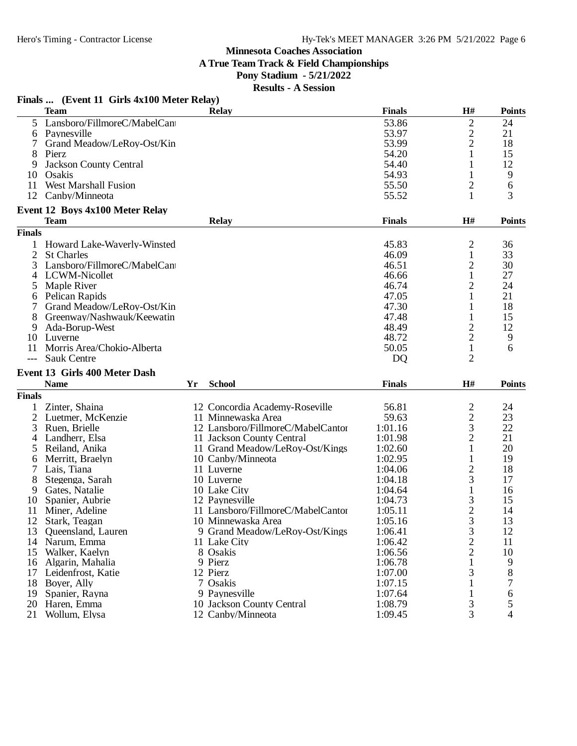**A True Team Track & Field Championships**

## **Pony Stadium - 5/21/2022**

**Results - A Session**

|               | Finals  (Event 11 Girls 4x100 Meter Relay) |              |               |                |               |
|---------------|--------------------------------------------|--------------|---------------|----------------|---------------|
|               | <b>Team</b>                                | <b>Relay</b> | <b>Finals</b> | H#             | <b>Points</b> |
| 5             | Lansboro/FillmoreC/MabelCant               |              | 53.86         | $\overline{2}$ | 24            |
| 6             | Paynesville                                |              | 53.97         | $\frac{2}{2}$  | 21            |
|               | Grand Meadow/LeRoy-Ost/Kin                 |              | 53.99         |                | 18            |
| 8             | Pierz                                      |              | 54.20         |                | 15            |
| 9             | Jackson County Central                     |              | 54.40         |                | 12            |
| 10            | Osakis                                     |              | 54.93         |                | 9             |
| 11            | <b>West Marshall Fusion</b>                |              | 55.50         | $\overline{c}$ | 6             |
| 12            | Canby/Minneota                             |              | 55.52         | $\mathbf{1}$   | 3             |
|               | Event 12 Boys 4x100 Meter Relay            |              |               |                |               |
|               | <b>Team</b>                                | <b>Relay</b> | <b>Finals</b> | H#             | <b>Points</b> |
| <b>Finals</b> |                                            |              |               |                |               |
|               | Howard Lake-Waverly-Winsted                |              | 45.83         | 2              | 36            |
|               | <b>St Charles</b>                          |              | 46.09         |                | 33            |
| 3             | Lansboro/FillmoreC/MabelCan                |              | 46.51         | $\overline{c}$ | 30            |
|               | LCWM-Nicollet                              |              | 46.66         |                | 27            |
| 5             | Maple River                                |              | 46.74         | $\overline{2}$ | 24            |
| 6             | Pelican Rapids                             |              | 47.05         |                | 21            |
|               | Grand Meadow/LeRoy-Ost/Kin                 |              | 47.30         |                | 18            |
| 8             | Greenway/Nashwauk/Keewatin                 |              | 47.48         |                | 15            |
| 9             | Ada-Borup-West                             |              | 48.49         | $\sqrt{2}$     | 12            |
| 10            | Luverne                                    |              | 48.72         | $\overline{2}$ | 9             |
| 11            | Morris Area/Chokio-Alberta                 |              | 50.05         | $\mathbf{1}$   | 6             |
| $---$         | <b>Sauk Centre</b>                         |              | DQ            | $\overline{2}$ |               |

# **Event 13 Girls 400 Meter Dash**

|        | <b>Name</b>        | Yr | <b>School</b>                     | <b>Finals</b> | H#             | <b>Points</b> |
|--------|--------------------|----|-----------------------------------|---------------|----------------|---------------|
| Finals |                    |    |                                   |               |                |               |
|        | Zinter, Shaina     |    | 12 Concordia Academy-Roseville    | 56.81         | 2              | 24            |
| 2.     | Luetmer, McKenzie  |    | 11 Minnewaska Area                | 59.63         | $\overline{c}$ | 23            |
| 3      | Ruen, Brielle      |    | 12 Lansboro/FillmoreC/MabelCantor | 1:01.16       | 3              | 22            |
| 4      | Landherr, Elsa     |    | 11 Jackson County Central         | 1:01.98       | $\overline{2}$ | 21            |
| 5.     | Reiland, Anika     |    | 11 Grand Meadow/LeRoy-Ost/Kings   | 1:02.60       |                | 20            |
| 6      | Merritt, Braelyn   |    | 10 Canby/Minneota                 | 1:02.95       |                | 19            |
|        | Lais. Tiana        |    | 11 Luverne                        | 1:04.06       | $\overline{c}$ | 18            |
| 8      | Stegenga, Sarah    |    | 10 Luverne                        | 1:04.18       | 3              | 17            |
| 9      | Gates, Natalie     |    | 10 Lake City                      | 1:04.64       |                | 16            |
| 10     | Spanier, Aubrie    |    | 12 Paynesville                    | 1:04.73       | 3              | 15            |
| 11     | Miner, Adeline     |    | 11 Lansboro/FillmoreC/MabelCantor | 1:05.11       | $\overline{2}$ | 14            |
| 12     | Stark, Teagan      |    | 10 Minnewaska Area                | 1:05.16       | 3              | 13            |
| 13     | Queensland, Lauren |    | 9 Grand Meadow/LeRoy-Ost/Kings    | 1:06.41       | 3              | 12            |
| 14     | Narum, Emma        |    | 11 Lake City                      | 1:06.42       | $\overline{2}$ | 11            |
| 15     | Walker, Kaelyn     |    | 8 Osakis                          | 1:06.56       | $\overline{2}$ | 10            |
| 16     | Algarin, Mahalia   |    | 9 Pierz                           | 1:06.78       |                | 9             |
| 17     | Leidenfrost, Katie |    | 12 Pierz                          | 1:07.00       |                | 8             |
| 18     | Boyer, Ally        |    | 7 Osakis                          | 1:07.15       |                |               |
| 19     | Spanier, Rayna     |    | 9 Paynesville                     | 1:07.64       |                | 6             |
| 20     | Haren, Emma        |    | 10 Jackson County Central         | 1:08.79       | 3              | 5             |
| 21     | Wollum, Elysa      |    | 12 Canby/Minneota                 | 1:09.45       | 3              | 4             |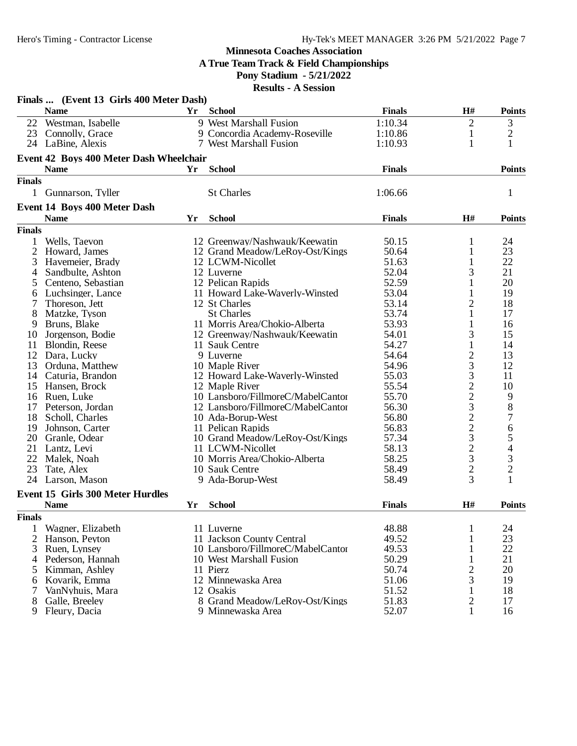**A True Team Track & Field Championships**

## **Pony Stadium - 5/21/2022**

|                | Finals  (Event 13 Girls 400 Meter Dash) |    |                                   |               |                         |                                       |
|----------------|-----------------------------------------|----|-----------------------------------|---------------|-------------------------|---------------------------------------|
|                | <b>Name</b>                             | Yr | <b>School</b>                     | <b>Finals</b> | H#                      | <b>Points</b>                         |
|                | 22 Westman, Isabelle                    |    | 9 West Marshall Fusion            | 1:10.34       | $\overline{2}$          | 3                                     |
|                | 23 Connolly, Grace                      |    | 9 Concordia Academy-Roseville     | 1:10.86       | 1                       | $\overline{c}$                        |
|                | 24 LaBine, Alexis                       |    | 7 West Marshall Fusion            | 1:10.93       | 1                       | 1                                     |
|                | Event 42 Boys 400 Meter Dash Wheelchair |    |                                   |               |                         |                                       |
|                | <b>Name</b>                             | Yr | <b>School</b>                     | <b>Finals</b> |                         | <b>Points</b>                         |
| <b>Finals</b>  |                                         |    |                                   |               |                         |                                       |
| $\mathbf{1}$   | Gunnarson, Tyller                       |    | <b>St Charles</b>                 | 1:06.66       |                         | 1                                     |
|                | Event 14 Boys 400 Meter Dash            |    |                                   |               |                         |                                       |
|                | <b>Name</b>                             | Yr | <b>School</b>                     | <b>Finals</b> | H#                      | <b>Points</b>                         |
| <b>Finals</b>  |                                         |    |                                   |               |                         |                                       |
| 1              | Wells, Taevon                           |    | 12 Greenway/Nashwauk/Keewatin     | 50.15         | 1                       | 24                                    |
| $\overline{2}$ | Howard, James                           |    | 12 Grand Meadow/LeRoy-Ost/Kings   | 50.64         | 1                       | 23                                    |
| 3              | Havemeier, Brady                        |    | 12 LCWM-Nicollet                  | 51.63         | 1                       | 22                                    |
| 4              | Sandbulte, Ashton                       |    | 12 Luverne                        | 52.04         | 3                       | 21                                    |
| 5              | Centeno, Sebastian                      |    | 12 Pelican Rapids                 | 52.59         | 1                       | 20                                    |
| 6              | Luchsinger, Lance                       |    | 11 Howard Lake-Waverly-Winsted    | 53.04         | 1                       | 19                                    |
| 7              | Thoreson, Jett                          |    | 12 St Charles                     | 53.14         | $\overline{2}$          | 18                                    |
| 8              | Matzke, Tyson                           |    | <b>St Charles</b>                 | 53.74         | 1                       | 17                                    |
| 9              | Bruns, Blake                            |    | 11 Morris Area/Chokio-Alberta     | 53.93         | 1                       | 16                                    |
| 10             | Jorgenson, Bodie                        |    | 12 Greenway/Nashwauk/Keewatin     | 54.01         | 3                       | 15                                    |
| 11             | Blondin, Reese                          |    | 11 Sauk Centre                    | 54.27         | $\mathbf{1}$            | 14                                    |
| 12             | Dara, Lucky                             |    | 9 Luverne                         | 54.64         | $\overline{\mathbf{c}}$ | 13                                    |
| 13             | Orduna, Matthew                         |    | 10 Maple River                    | 54.96         | 3                       | 12                                    |
| 14             | Caturia, Brandon                        |    | 12 Howard Lake-Waverly-Winsted    | 55.03         | 3                       | 11                                    |
| 15             | Hansen, Brock                           |    | 12 Maple River                    | 55.54         | $\overline{c}$          | 10                                    |
| 16             | Ruen, Luke                              |    | 10 Lansboro/FillmoreC/MabelCantor | 55.70         |                         |                                       |
| 17             | Peterson, Jordan                        |    | 12 Lansboro/FillmoreC/MabelCantor | 56.30         | $\frac{2}{3}$           | $\begin{array}{c} 9 \\ 8 \end{array}$ |
| 18             | Scholl, Charles                         |    | 10 Ada-Borup-West                 | 56.80         |                         | $\overline{7}$                        |
| 19             | Johnson, Carter                         |    | 11 Pelican Rapids                 | 56.83         | $\frac{2}{3}$           |                                       |
| 20             | Granle, Odear                           |    | 10 Grand Meadow/LeRoy-Ost/Kings   | 57.34         |                         |                                       |
| 21             | Lantz, Levi                             |    | 11 LCWM-Nicollet                  | 58.13         | $\overline{c}$          | 6<br>5<br>4                           |
| 22             | Malek, Noah                             |    | 10 Morris Area/Chokio-Alberta     | 58.25         | 3                       |                                       |
| 23             | Tate, Alex                              |    | 10 Sauk Centre                    | 58.49         | $\overline{c}$          | $\frac{3}{2}$                         |
| 24             | Larson, Mason                           |    | 9 Ada-Borup-West                  | 58.49         | 3                       | 1                                     |
|                | Event 15 Girls 300 Meter Hurdles        |    |                                   |               |                         |                                       |
|                | <b>Name</b>                             | Yr | <b>School</b>                     | <b>Finals</b> | H#                      | <b>Points</b>                         |
| <b>Finals</b>  |                                         |    |                                   |               |                         |                                       |
| 1              | Wagner, Elizabeth                       |    | 11 Luverne                        | 48.88         | $\mathbf{1}$            | 24                                    |
| $\overline{2}$ | Hanson, Peyton                          |    | 11 Jackson County Central         | 49.52         | 1                       | 23                                    |
| 3              | Ruen, Lynsey                            |    | 10 Lansboro/FillmoreC/MabelCantor | 49.53         | $\mathbf{1}$            | 22                                    |
| 4              | Pederson, Hannah                        |    | 10 West Marshall Fusion           | 50.29         | $\mathbf{1}$            | 21                                    |
| 5              | Kimman, Ashley                          |    | 11 Pierz                          | 50.74         | $\overline{c}$          | 20                                    |
| 6              | Kovarik, Emma                           |    | 12 Minnewaska Area                | 51.06         | 3                       | 19                                    |
| 7              | VanNyhuis, Mara                         |    | 12 Osakis                         | 51.52         | 1                       | 18                                    |
| 8              | Galle, Breeley                          |    | 8 Grand Meadow/LeRoy-Ost/Kings    | 51.83         | $\overline{2}$          | 17                                    |
| 9              | Fleury, Dacia                           |    | 9 Minnewaska Area                 | 52.07         | $\mathbf{1}$            | 16                                    |
|                |                                         |    |                                   |               |                         |                                       |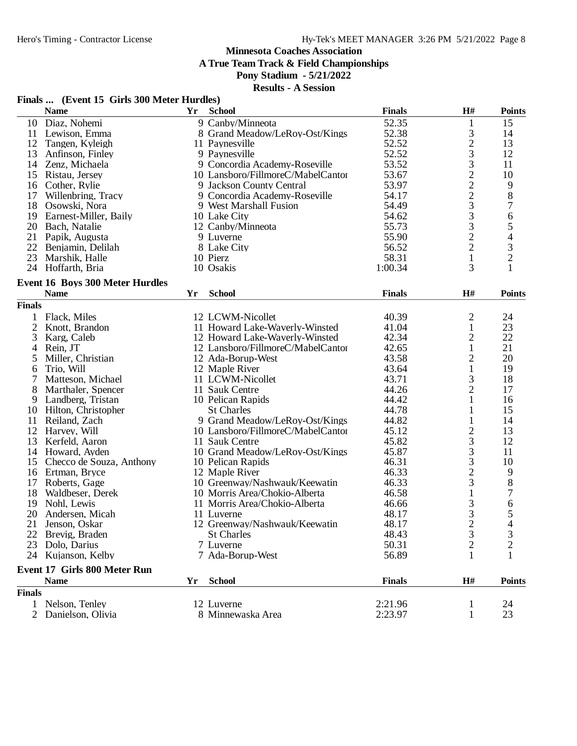**A True Team Track & Field Championships**

#### **Pony Stadium - 5/21/2022**

#### **Results - A Session**

## **Finals ... (Event 15 Girls 300 Meter Hurdles)**

|                | <b>Name</b>                            | Yr | <b>School</b>                     | <b>Finals</b> | H#                                              | <b>Points</b>            |
|----------------|----------------------------------------|----|-----------------------------------|---------------|-------------------------------------------------|--------------------------|
| 10             | Diaz, Nohemi                           |    | 9 Canby/Minneota                  | 52.35         | $\mathbf{1}$                                    | 15                       |
| 11             | Lewison, Emma                          |    | 8 Grand Meadow/LeRoy-Ost/Kings    | 52.38         | 3                                               | 14                       |
| 12             | Tangen, Kyleigh                        |    | 11 Paynesville                    | 52.52         |                                                 | 13                       |
| 13             | Anfinson, Finley                       |    | 9 Paynesville                     | 52.52         | $\frac{2}{3}$                                   | 12                       |
| 14             | Zenz, Michaela                         |    | 9 Concordia Academy-Roseville     | 53.52         |                                                 | 11                       |
| 15             | Ristau, Jersey                         |    | 10 Lansboro/FillmoreC/MabelCantor | 53.67         |                                                 | 10                       |
| 16             | Cother, Rylie                          |    | 9 Jackson County Central          | 53.97         |                                                 | 9                        |
| 17             | Willenbring, Tracy                     |    | 9 Concordia Academy-Roseville     | 54.17         | 322233322                                       | $8\,$                    |
| 18             | Osowski, Nora                          |    | 9 West Marshall Fusion            | 54.49         |                                                 | 7                        |
| 19             | Earnest-Miller, Baily                  |    | 10 Lake City                      | 54.62         |                                                 | 6                        |
| 20             | Bach, Natalie                          |    | 12 Canby/Minneota                 | 55.73         |                                                 | 5                        |
| 21             | Papik, Augusta                         |    | 9 Luverne                         | 55.90         |                                                 | $\overline{\mathcal{A}}$ |
| 22             | Benjamin, Delilah                      |    | 8 Lake City                       | 56.52         |                                                 | $\mathfrak{Z}$           |
| 23             | Marshik, Halle                         |    | 10 Pierz                          | 58.31         | $\mathbf{1}$                                    | $\overline{2}$           |
|                | 24 Hoffarth, Bria                      |    | 10 Osakis                         | 1:00.34       | 3                                               | $\mathbf{1}$             |
|                |                                        |    |                                   |               |                                                 |                          |
|                | <b>Event 16 Boys 300 Meter Hurdles</b> |    |                                   |               |                                                 |                          |
|                | <b>Name</b>                            | Yr | <b>School</b>                     | <b>Finals</b> | H#                                              | <b>Points</b>            |
| <b>Finals</b>  |                                        |    |                                   |               |                                                 |                          |
|                | Flack, Miles                           |    | 12 LCWM-Nicollet                  | 40.39         | $\mathfrak{2}$                                  | 24                       |
| $\overline{2}$ | Knott, Brandon                         |    | 11 Howard Lake-Waverly-Winsted    | 41.04         | $\mathbf{1}$                                    | 23                       |
| 3              | Karg, Caleb                            |    | 12 Howard Lake-Waverly-Winsted    | 42.34         | $\overline{\mathbf{c}}$                         | 22                       |
| 4              | Rein, JT                               |    | 12 Lansboro/FillmoreC/MabelCantor | 42.65         | $\mathbf{1}$                                    | 21                       |
| 5              | Miller, Christian                      |    | 12 Ada-Borup-West                 | 43.58         | $\overline{c}$                                  | 20                       |
| 6              | Trio, Will                             |    | 12 Maple River                    | 43.64         | $\mathbf{1}$                                    | 19                       |
| 7              | Matteson, Michael                      |    | 11 LCWM-Nicollet                  | 43.71         | 3                                               | 18                       |
| 8              | Marthaler, Spencer                     |    | 11 Sauk Centre                    | 44.26         | $\overline{c}$                                  | 17                       |
| 9              | Landberg, Tristan                      |    | 10 Pelican Rapids                 | 44.42         | $\mathbf{1}$                                    | 16                       |
| 10             | Hilton, Christopher                    |    | <b>St Charles</b>                 | 44.78         | 1                                               | 15                       |
| 11             | Reiland, Zach                          |    | 9 Grand Meadow/LeRoy-Ost/Kings    | 44.82         | 1                                               | 14                       |
| 12             | Harvey, Will                           |    | 10 Lansboro/FillmoreC/MabelCantor | 45.12         |                                                 | 13                       |
| 13             | Kerfeld, Aaron                         |    | 11 Sauk Centre                    | 45.82         | $\frac{2}{3}$                                   | 12                       |
| 14             | Howard, Ayden                          |    | 10 Grand Meadow/LeRoy-Ost/Kings   | 45.87         |                                                 | 11                       |
|                |                                        |    |                                   |               | $\begin{array}{c} 3 \\ 3 \\ 2 \\ 3 \end{array}$ |                          |
| 15             | Checco de Souza, Anthony               |    | 10 Pelican Rapids                 | 46.31         |                                                 | 10                       |
| 16             | Ertman, Bryce                          |    | 12 Maple River                    | 46.33         |                                                 | 9                        |
| 17             | Roberts, Gage                          |    | 10 Greenway/Nashwauk/Keewatin     | 46.33         | $\mathbf{1}$                                    | $\,8\,$                  |
| 18             | Waldbeser, Derek                       |    | 10 Morris Area/Chokio-Alberta     | 46.58         |                                                 | $\tau$                   |
| 19             | Nohl, Lewis                            |    | 11 Morris Area/Chokio-Alberta     | 46.66         | 3                                               | 6                        |
| 20             | Andersen, Micah                        |    | 11 Luverne                        | 48.17         | 3                                               | $\mathfrak s$            |
| 21             | Jenson, Oskar                          |    | 12 Greenway/Nashwauk/Keewatin     | 48.17         | $\overline{2}$                                  | 4                        |
|                | 22 Brevig, Braden                      |    | <b>St Charles</b>                 | 48.43         | 3                                               | $\mathfrak{Z}$           |
| 23             | Dolo, Darius                           |    | 7 Luverne                         | 50.31         | $\overline{c}$                                  | $\overline{2}$           |
|                | 24 Kujanson, Kelby                     |    | 7 Ada-Borup-West                  | 56.89         | 1                                               | 1                        |
|                | <b>Event 17 Girls 800 Meter Run</b>    |    |                                   |               |                                                 |                          |
|                | <b>Name</b>                            | Yr | <b>School</b>                     | <b>Finals</b> | H#                                              | <b>Points</b>            |
| <b>Finals</b>  |                                        |    |                                   |               |                                                 |                          |
| $\mathbf{1}$   | Nelson, Tenley                         |    | 12 Luverne                        | 2:21.96       | 1                                               | 24                       |
|                | 2 Danielson, Olivia                    |    | 8 Minnewaska Area                 | 2:23.97       | 1                                               | 23                       |
|                |                                        |    |                                   |               |                                                 |                          |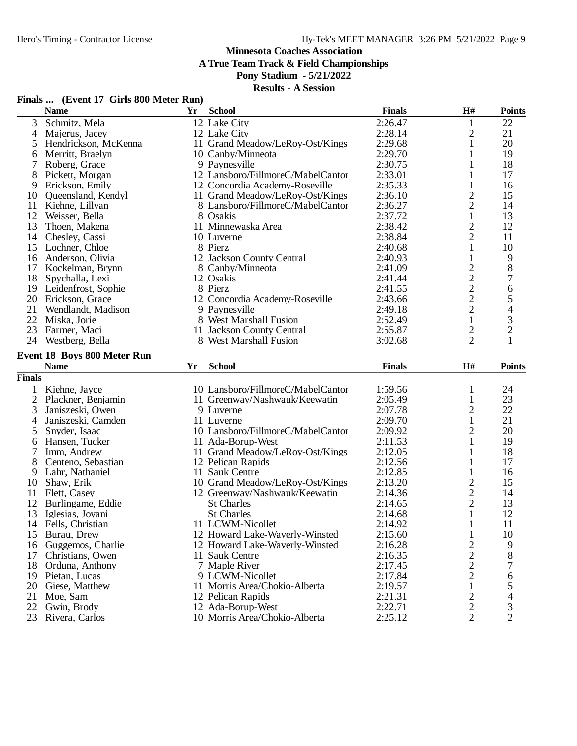**A True Team Track & Field Championships**

#### **Pony Stadium - 5/21/2022**

|  | Finals  (Event 17 Girls 800 Meter Run) |  |  |  |
|--|----------------------------------------|--|--|--|
|--|----------------------------------------|--|--|--|

|                | <b>Name</b>                 | Yr | <b>School</b>                     | <b>Finals</b> | $\mathbf{H}$ #                                    | <b>Points</b>            |
|----------------|-----------------------------|----|-----------------------------------|---------------|---------------------------------------------------|--------------------------|
| 3              | Schmitz, Mela               |    | 12 Lake City                      | 2:26.47       | $\mathbf{1}$                                      | 22                       |
| 4              | Majerus, Jacey              |    | 12 Lake City                      | 2:28.14       | 2                                                 | 21                       |
| 5              | Hendrickson, McKenna        |    | 11 Grand Meadow/LeRoy-Ost/Kings   | 2:29.68       | 1                                                 | 20                       |
| 6              | Merritt, Braelyn            |    | 10 Canby/Minneota                 | 2:29.70       | 1                                                 | 19                       |
| 7              | Roberg, Grace               |    | 9 Paynesville                     | 2:30.75       | 1                                                 | 18                       |
| 8              | Pickett, Morgan             |    | 12 Lansboro/FillmoreC/MabelCantor | 2:33.01       | 1                                                 | 17                       |
| 9              | Erickson, Emily             |    | 12 Concordia Academy-Roseville    | 2:35.33       | $\mathbf{1}$                                      | 16                       |
| 10             | Queensland, Kendyl          |    | 11 Grand Meadow/LeRoy-Ost/Kings   | 2:36.10       |                                                   | 15                       |
| 11             | Kiehne, Lillyan             |    | 8 Lansboro/FillmoreC/MabelCantor  | 2:36.27       | $\frac{2}{2}$                                     | 14                       |
| 12             | Weisser, Bella              |    | 8 Osakis                          | 2:37.72       | $\mathbf{1}$                                      | 13                       |
| 13             | Thoen, Makena               |    | 11 Minnewaska Area                | 2:38.42       |                                                   | 12                       |
| 14             | Chesley, Cassi              |    | 10 Luverne                        | 2:38.84       | $\frac{2}{2}$                                     | 11                       |
| 15             | Lochner, Chloe              |    | 8 Pierz                           | 2:40.68       | $\,1$                                             | 10                       |
| 16             | Anderson, Olivia            |    | 12 Jackson County Central         | 2:40.93       | $\mathbf{1}$                                      | 9                        |
| 17             | Kockelman, Brynn            |    | 8 Canby/Minneota                  | 2:41.09       |                                                   | 8                        |
| 18             | Spychalla, Lexi             |    | 12 Osakis                         | 2:41.44       | $\begin{array}{c}\n2 \\ 2 \\ 2 \\ 2\n\end{array}$ | 7                        |
| 19             | Leidenfrost, Sophie         |    | 8 Pierz                           | 2:41.55       |                                                   | 6                        |
|                | 20 Erickson, Grace          |    | 12 Concordia Academy-Roseville    | 2:43.66       |                                                   | 5                        |
| 21             | Wendlandt, Madison          |    | 9 Paynesville                     | 2:49.18       |                                                   | $\overline{\mathcal{L}}$ |
| 22             | Miska, Jorie                |    | 8 West Marshall Fusion            | 2:52.49       | $\,1$                                             |                          |
| 23             | Farmer, Maci                |    | 11 Jackson County Central         | 2:55.87       | $\overline{c}$                                    | $\frac{3}{2}$            |
|                | 24 Westberg, Bella          |    | 8 West Marshall Fusion            | 3:02.68       | $\overline{2}$                                    | $\mathbf{1}$             |
|                |                             |    |                                   |               |                                                   |                          |
|                | Event 18 Boys 800 Meter Run |    |                                   |               |                                                   |                          |
|                | <b>Name</b>                 | Yr | <b>School</b>                     | <b>Finals</b> | H#                                                | <b>Points</b>            |
| <b>Finals</b>  |                             |    |                                   |               |                                                   |                          |
|                | Kiehne, Jayce               |    | 10 Lansboro/FillmoreC/MabelCantor | 1:59.56       | $\mathbf{1}$                                      | 24                       |
| $\overline{c}$ | Plackner, Benjamin          |    | 11 Greenway/Nashwauk/Keewatin     | 2:05.49       | $\mathbf{1}$                                      | 23                       |
| 3              | Janiszeski, Owen            |    | 9 Luverne                         | 2:07.78       | $\overline{\mathbf{c}}$                           | 22                       |
| 4              | Janiszeski, Camden          |    | 11 Luverne                        | 2:09.70       | $\mathbf{1}$                                      | 21                       |
| 5              | Snyder, Isaac               |    | 10 Lansboro/FillmoreC/MabelCantor | 2:09.92       | $\overline{c}$                                    | 20                       |
| 6              | Hansen, Tucker              |    | 11 Ada-Borup-West                 | 2:11.53       | $\mathbf{1}$                                      | 19                       |
| 7              | Imm, Andrew                 |    | 11 Grand Meadow/LeRoy-Ost/Kings   | 2:12.05       | 1                                                 | 18                       |
| 8              | Centeno, Sebastian          |    | 12 Pelican Rapids                 | 2:12.56       | $\mathbf{1}$                                      | 17                       |
| 9              | Lahr, Nathaniel             |    | 11 Sauk Centre                    | 2:12.85       | $\mathbf{1}$                                      | 16                       |
| 10             | Shaw, Erik                  |    | 10 Grand Meadow/LeRoy-Ost/Kings   | 2:13.20       | $\overline{c}$                                    | 15                       |
| 11             | Flett, Casey                |    | 12 Greenway/Nashwauk/Keewatin     | 2:14.36       | $\overline{c}$                                    | 14                       |
| 12             | Burlingame, Eddie           |    | <b>St Charles</b>                 | 2:14.65       | $\overline{c}$                                    | 13                       |
| 13             | Iglesias, Jovani            |    | <b>St Charles</b>                 | 2:14.68       | $\mathbf{1}$                                      | 12                       |
|                | 14 Fells, Christian         |    | 11 LCWM-Nicollet                  | 2:14.92       | $\mathbf{1}$                                      | 11                       |
| 15             | Burau, Drew                 |    | 12 Howard Lake-Waverly-Winsted    | 2:15.60       | $\mathbf{1}$                                      | 10                       |
| 16             | Guggemos, Charlie           |    | 12 Howard Lake-Waverly-Winsted    | 2:16.28       | $\overline{2}$                                    | 9                        |
| 17             | Christians, Owen            |    | 11 Sauk Centre                    | 2:16.35       | $\overline{c}$                                    | 8                        |
| 18             | Orduna, Anthony             |    | 7 Maple River                     | 2:17.45       | $\overline{c}$                                    | 7                        |
| 19             | Pietan, Lucas               |    | 9 LCWM-Nicollet                   | 2:17.84       | $\overline{2}$                                    | 6                        |
| 20             | Giese, Matthew              |    | 11 Morris Area/Chokio-Alberta     | 2:19.57       |                                                   |                          |
|                |                             |    |                                   |               | $\mathbf{1}$                                      | 5                        |
| 21<br>22       | Moe, Sam                    |    | 12 Pelican Rapids                 | 2:21.31       | $\overline{c}$                                    | 4                        |
|                | Gwin, Brody                 |    | 12 Ada-Borup-West                 | 2:22.71       | $\overline{c}$                                    | 3                        |
| 23             | Rivera, Carlos              |    | 10 Morris Area/Chokio-Alberta     | 2:25.12       | $\overline{2}$                                    | $\overline{2}$           |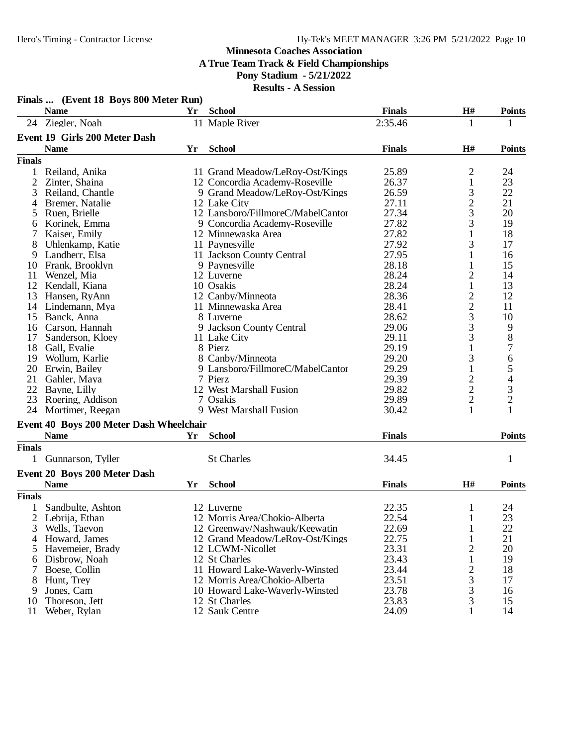#### **Minnesota Coaches Association A True Team Track & Field Championships**

#### **Pony Stadium - 5/21/2022**

|               | Finals  (Event 18 Boys 800 Meter Run)   |    |                                   |               |                    |                  |
|---------------|-----------------------------------------|----|-----------------------------------|---------------|--------------------|------------------|
|               | <b>Name</b>                             | Yr | <b>School</b>                     | <b>Finals</b> | H#                 | <b>Points</b>    |
|               | 24 Ziegler, Noah                        |    | 11 Maple River                    | 2:35.46       | 1                  | 1                |
|               | Event 19 Girls 200 Meter Dash           |    |                                   |               |                    |                  |
|               | <b>Name</b>                             | Yr | <b>School</b>                     | <b>Finals</b> | H#                 | <b>Points</b>    |
| <b>Finals</b> |                                         |    |                                   |               |                    |                  |
|               | Reiland, Anika                          |    | 11 Grand Meadow/LeRoy-Ost/Kings   | 25.89         | 2                  | 24               |
| 2             | Zinter, Shaina                          |    | 12 Concordia Academy-Roseville    | 26.37         | 1                  | 23               |
| 3             | Reiland, Chantle                        |    | 9 Grand Meadow/LeRoy-Ost/Kings    | 26.59         | 3                  | 22               |
| 4             | Bremer, Natalie                         |    | 12 Lake City                      | 27.11         | $\overline{c}$     | 21               |
| 5             | Ruen, Brielle                           |    | 12 Lansboro/FillmoreC/MabelCantor | 27.34         | 3                  | 20               |
| 6             | Korinek, Emma                           |    | 9 Concordia Academy-Roseville     | 27.82         | 3                  | 19               |
|               | Kaiser, Emily                           |    | 12 Minnewaska Area                | 27.82         | $\mathbf{1}$       | 18               |
| 8             | Uhlenkamp, Katie                        |    | 11 Paynesville                    | 27.92         | 3                  | 17               |
|               |                                         |    |                                   |               |                    |                  |
| 9             | Landherr, Elsa                          |    | 11 Jackson County Central         | 27.95         | 1                  | 16               |
| 10            | Frank, Brooklyn                         |    | 9 Paynesville                     | 28.18         | 1                  | 15               |
| 11            | Wenzel, Mia                             |    | 12 Luverne                        | 28.24         | $\overline{c}$     | 14               |
| 12            | Kendall, Kiana                          |    | 10 Osakis                         | 28.24         | $\mathbf{1}$       | 13               |
| 13            | Hansen, RyAnn                           |    | 12 Canby/Minneota                 | 28.36         | $\frac{2}{3}$<br>3 | 12               |
| 14            | Lindemann, Mya                          |    | 11 Minnewaska Area                | 28.41         |                    | 11               |
| 15            | Banck, Anna                             |    | 8 Luverne                         | 28.62         |                    | 10               |
| 16            | Carson, Hannah                          |    | 9 Jackson County Central          | 29.06         |                    | 9                |
| 17            | Sanderson, Kloev                        |    | 11 Lake City                      | 29.11         | 3                  | $8\,$            |
| 18            | Gall, Evalie                            |    | 8 Pierz                           | 29.19         | $\mathbf 1$        | $\overline{7}$   |
| 19            | Wollum, Karlie                          |    | 8 Canby/Minneota                  | 29.20         | 3                  | $\boldsymbol{6}$ |
| 20            | Erwin, Bailey                           |    | 9 Lansboro/FillmoreC/MabelCantor  | 29.29         | 1                  | 5                |
| 21            | Gahler, Maya                            |    | 7 Pierz                           | 29.39         | $\overline{c}$     | 4                |
| 22            | Bayne, Lilly                            |    | 12 West Marshall Fusion           | 29.82         |                    | 3                |
| 23            | Roering, Addison                        |    | 7 Osakis                          | 29.89         | $\frac{2}{2}$      | $\overline{c}$   |
| 24            | Mortimer, Reegan                        |    | 9 West Marshall Fusion            | 30.42         | $\mathbf{1}$       | $\mathbf{1}$     |
|               | Event 40 Boys 200 Meter Dash Wheelchair |    |                                   |               |                    |                  |
|               | <b>Name</b>                             | Yr | <b>School</b>                     | <b>Finals</b> |                    | <b>Points</b>    |
| <b>Finals</b> |                                         |    |                                   |               |                    |                  |
|               | 1 Gunnarson, Tyller                     |    | <b>St Charles</b>                 | 34.45         |                    | 1                |
|               |                                         |    |                                   |               |                    |                  |
|               | Event 20 Boys 200 Meter Dash            |    |                                   |               |                    |                  |
|               | <b>Name</b>                             | Yr | <b>School</b>                     | <b>Finals</b> | H#                 | <b>Points</b>    |
| <b>Finals</b> |                                         |    |                                   |               |                    |                  |
|               | Sandbulte, Ashton                       |    | 12 Luverne                        | 22.35         | 1                  | 24               |
|               | 2 Lebrija, Ethan                        |    | 12 Morris Area/Chokio-Alberta     | 22.54         | $\mathbf{1}$       | 23               |
| 3             | Wells, Taevon                           |    | 12 Greenway/Nashwauk/Keewatin     | 22.69         | 1                  | 22               |
| 4             | Howard, James                           |    | 12 Grand Meadow/LeRoy-Ost/Kings   | 22.75         | 1                  | 21               |
| 5             | Havemeier, Brady                        |    | 12 LCWM-Nicollet                  | 23.31         | $\overline{c}$     | 20               |
| 6             | Disbrow, Noah                           |    | 12 St Charles                     | 23.43         | 1                  | 19               |
| 7             | Boese, Collin                           |    | 11 Howard Lake-Waverly-Winsted    | 23.44         | $\mathbf{2}$       | 18               |
| 8             | Hunt, Trey                              |    | 12 Morris Area/Chokio-Alberta     | 23.51         | 3                  | 17               |
| 9             | Jones, Cam                              |    | 10 Howard Lake-Waverly-Winsted    | 23.78         | 3                  | 16               |
| 10            | Thoreson, Jett                          |    | 12 St Charles                     | 23.83         | 3                  | 15               |
| 11            | Weber, Rylan                            |    | 12 Sauk Centre                    | 24.09         | 1                  | 14               |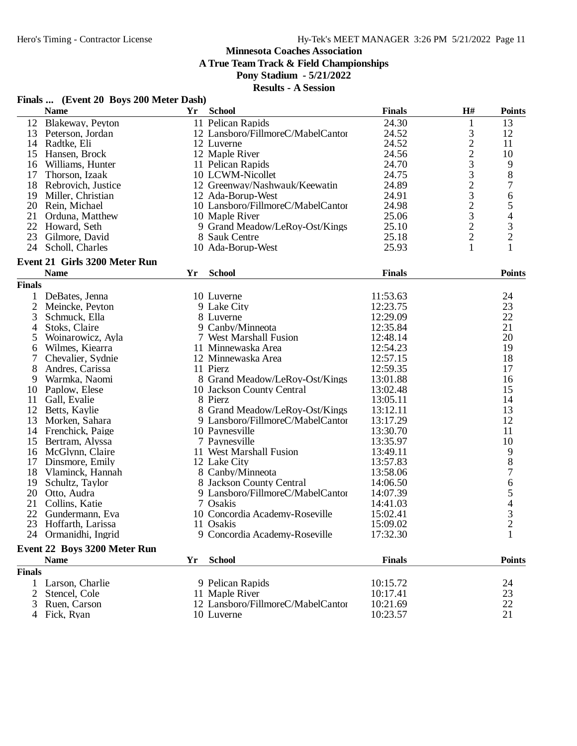**A True Team Track & Field Championships**

## **Pony Stadium - 5/21/2022**

| Finals  (Event 20 Boys 200 Meter Dash) |  |  |
|----------------------------------------|--|--|
|                                        |  |  |

|                | <b>Name</b>                    | Yr | <b>School</b>                     | <b>Finals</b>        | H#             | <b>Points</b>            |
|----------------|--------------------------------|----|-----------------------------------|----------------------|----------------|--------------------------|
|                | 12 Blakeway, Peyton            |    | 11 Pelican Rapids                 | 24.30                | 1              | 13                       |
| 13             | Peterson, Jordan               |    | 12 Lansboro/FillmoreC/MabelCantor | 24.52                | $\mathfrak{Z}$ | 12                       |
| 14             | Radtke, Eli                    |    | 12 Luverne                        | 24.52                |                | 11                       |
| 15             | Hansen, Brock                  |    | 12 Maple River                    | 24.56                | 2233232322     | 10                       |
| 16             | Williams, Hunter               |    | 11 Pelican Rapids                 | 24.70                |                | 9                        |
| 17             | Thorson, Izaak                 |    | 10 LCWM-Nicollet                  | 24.75                |                | $8\,$                    |
| 18             | Rebrovich, Justice             |    | 12 Greenway/Nashwauk/Keewatin     | 24.89                |                | 7                        |
| 19             | Miller, Christian              |    | 12 Ada-Borup-West                 | 24.91                |                | 6                        |
| 20             | Rein, Michael                  |    | 10 Lansboro/FillmoreC/MabelCantor | 24.98                |                | 5                        |
| 21             | Orduna, Matthew                |    | 10 Maple River                    | 25.06                |                | $\overline{\mathcal{L}}$ |
| 22             | Howard, Seth                   |    | 9 Grand Meadow/LeRoy-Ost/Kings    | 25.10                |                |                          |
| 23             | Gilmore, David                 |    | 8 Sauk Centre                     | 25.18                |                | $\frac{3}{2}$            |
| 24             | Scholl, Charles                |    | 10 Ada-Borup-West                 | 25.93                | $\mathbf{1}$   | $\mathbf{1}$             |
|                | Event 21 Girls 3200 Meter Run  |    |                                   |                      |                |                          |
|                | <b>Name</b>                    | Yr | <b>School</b>                     | <b>Finals</b>        |                | <b>Points</b>            |
| <b>Finals</b>  |                                |    |                                   |                      |                |                          |
| 1              | DeBates, Jenna                 |    | 10 Luverne                        | 11:53.63             |                | 24                       |
| $\mathfrak{2}$ | Meincke, Peyton                |    | 9 Lake City                       | 12:23.75             |                | 23                       |
| 3              |                                |    | 8 Luverne                         | 12:29.09             |                | 22                       |
|                | Schmuck, Ella<br>Stoks, Claire |    | 9 Canby/Minneota                  | 12:35.84             |                | 21                       |
| 4              | Woinarowicz, Ayla              |    | 7 West Marshall Fusion            |                      |                | 20                       |
| 5              | Wilmes, Kiearra                |    | 11 Minnewaska Area                | 12:48.14<br>12:54.23 |                | 19                       |
| 6              |                                |    |                                   | 12:57.15             |                | 18                       |
| 7<br>8         | Chevalier, Sydnie              |    | 12 Minnewaska Area<br>11 Pierz    | 12:59.35             |                | 17                       |
|                | Andres, Carissa                |    |                                   |                      |                |                          |
| 9              | Warmka, Naomi                  |    | 8 Grand Meadow/LeRoy-Ost/Kings    | 13:01.88             |                | 16                       |
| 10             | Paplow, Elese                  |    | 10 Jackson County Central         | 13:02.48             |                | 15                       |
| 11             | Gall, Evalie                   |    | 8 Pierz                           | 13:05.11             |                | 14                       |
| 12             | Betts, Kaylie                  |    | 8 Grand Meadow/LeRoy-Ost/Kings    | 13:12.11             |                | 13                       |
| 13             | Morken, Sahara                 |    | 9 Lansboro/FillmoreC/MabelCantor  | 13:17.29             |                | 12                       |
| 14             | Frenchick, Paige               |    | 10 Paynesville                    | 13:30.70             |                | 11                       |
| 15             | Bertram, Alyssa                |    | 7 Paynesville                     | 13:35.97             |                | 10                       |
| 16             | McGlynn, Claire                |    | 11 West Marshall Fusion           | 13:49.11             |                | 9                        |
| 17             | Dinsmore, Emily                |    | 12 Lake City                      | 13:57.83             |                | 8                        |
| 18             | Vlaminck, Hannah               |    | 8 Canby/Minneota                  | 13:58.06             |                | $\overline{7}$           |
| 19             | Schultz, Taylor                |    | 8 Jackson County Central          | 14:06.50             |                | 6                        |
| 20             | Otto, Audra                    |    | 9 Lansboro/FillmoreC/MabelCantor  | 14:07.39             |                | 5                        |
| 21             | Collins, Katie                 |    | 7 Osakis                          | 14:41.03             |                | $rac{4}{3}$              |
| 22             | Gundermann, Eva                |    | 10 Concordia Academy-Roseville    | 15:02.41             |                |                          |
| 23             | Hoffarth, Larissa              |    | 11 Osakis                         | 15:09.02             |                | $\overline{2}$           |
|                | 24 Ormanidhi, Ingrid           |    | 9 Concordia Academy-Roseville     | 17:32.30             |                | $\mathbf{1}$             |
|                | Event 22 Boys 3200 Meter Run   |    |                                   |                      |                |                          |
|                | <b>Name</b>                    | Yr | <b>School</b>                     | <b>Finals</b>        |                | <b>Points</b>            |
| <b>Finals</b>  |                                |    |                                   |                      |                |                          |
| 1              | Larson, Charlie                |    | 9 Pelican Rapids                  | 10:15.72             |                | 24                       |
|                | Stencel, Cole                  |    | 11 Maple River                    | 10:17.41             |                | 23                       |
|                | Ruen, Carson                   |    | 12 Lansboro/FillmoreC/MabelCantor | 10:21.69             |                | 22                       |
|                | Fick, Ryan                     |    | 10 Luverne                        | 10:23.57             |                | 21                       |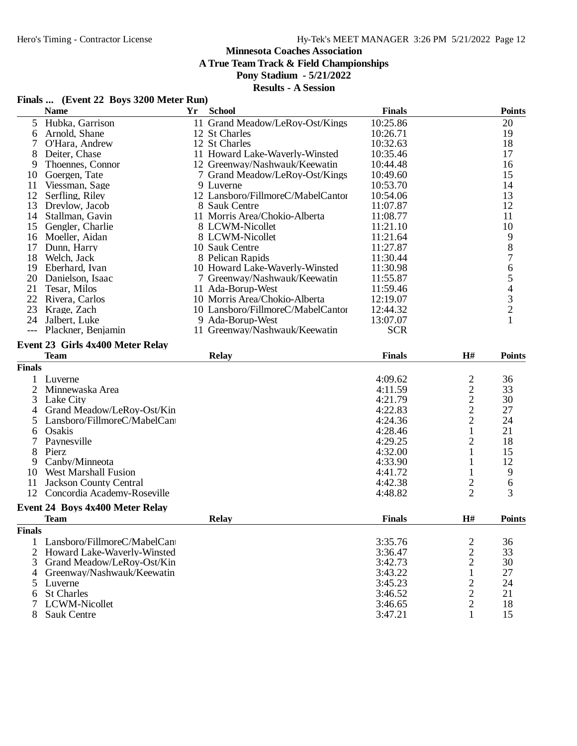**A True Team Track & Field Championships**

## **Pony Stadium - 5/21/2022**

#### **Results - A Session**

## **Finals ... (Event 22 Boys 3200 Meter Run)**

|                              | <b>Name</b>                      | <b>Yr</b> | <b>School</b>                     | <b>Finals</b> |                                | <b>Points</b>                                   |
|------------------------------|----------------------------------|-----------|-----------------------------------|---------------|--------------------------------|-------------------------------------------------|
| 5                            | Hubka, Garrison                  |           | 11 Grand Meadow/LeRoy-Ost/Kings   | 10:25.86      |                                | 20                                              |
| 6                            | Arnold, Shane                    |           | 12 St Charles                     | 10:26.71      |                                | 19                                              |
| 7                            | O'Hara, Andrew                   |           | 12 St Charles                     | 10:32.63      |                                | 18                                              |
| 8                            | Deiter, Chase                    |           | 11 Howard Lake-Waverly-Winsted    | 10:35.46      |                                | 17                                              |
| 9                            | Thoennes, Connor                 |           | 12 Greenway/Nashwauk/Keewatin     | 10:44.48      |                                | 16                                              |
| 10                           | Goergen, Tate                    |           | 7 Grand Meadow/LeRoy-Ost/Kings    | 10:49.60      |                                | 15                                              |
| 11                           | Viessman, Sage                   |           | 9 Luverne                         | 10:53.70      |                                | 14                                              |
| 12                           | Serfling, Riley                  |           | 12 Lansboro/FillmoreC/MabelCantor | 10:54.06      |                                | 13                                              |
| 13                           | Drevlow, Jacob                   |           | 8 Sauk Centre                     | 11:07.87      |                                | 12                                              |
| 14                           | Stallman, Gavin                  |           | 11 Morris Area/Chokio-Alberta     | 11:08.77      |                                | 11                                              |
| 15                           | Gengler, Charlie                 |           | 8 LCWM-Nicollet                   | 11:21.10      |                                | 10                                              |
| 16                           | Moeller, Aidan                   |           | 8 LCWM-Nicollet                   | 11:21.64      |                                | 9                                               |
| 17                           | Dunn, Harry                      |           | 10 Sauk Centre                    | 11:27.87      |                                | 8                                               |
| 18                           | Welch, Jack                      |           | 8 Pelican Rapids                  | 11:30.44      |                                | $\overline{7}$                                  |
| 19                           | Eberhard, Ivan                   |           | 10 Howard Lake-Waverly-Winsted    | 11:30.98      |                                | 6                                               |
| 20                           | Danielson, Isaac                 |           | 7 Greenway/Nashwauk/Keewatin      | 11:55.87      |                                |                                                 |
| 21                           | Tesar, Milos                     |           | 11 Ada-Borup-West                 | 11:59.46      |                                | $\begin{array}{c} 5 \\ 4 \\ 3 \\ 2 \end{array}$ |
| 22                           | Rivera, Carlos                   |           | 10 Morris Area/Chokio-Alberta     | 12:19.07      |                                |                                                 |
| 23                           | Krage, Zach                      |           | 10 Lansboro/FillmoreC/MabelCantor | 12:44.32      |                                |                                                 |
| 24                           | Jalbert, Luke                    |           | 9 Ada-Borup-West                  | 13:07.07      |                                | $\mathbf{1}$                                    |
| $---$                        | Plackner, Benjamin               |           | 11 Greenway/Nashwauk/Keewatin     | <b>SCR</b>    |                                |                                                 |
|                              |                                  |           |                                   |               |                                |                                                 |
|                              | Event 23 Girls 4x400 Meter Relay |           |                                   |               |                                |                                                 |
|                              | <b>Team</b>                      |           | <b>Relay</b>                      | <b>Finals</b> | H#                             | <b>Points</b>                                   |
| <b>Finals</b>                |                                  |           |                                   |               |                                |                                                 |
|                              | Luverne                          |           |                                   | 4:09.62       |                                | 36                                              |
| 2                            | Minnewaska Area                  |           |                                   | 4:11.59       | $\frac{2}{2}$<br>$\frac{2}{2}$ | 33                                              |
| 3                            | Lake City                        |           |                                   | 4:21.79       |                                | 30                                              |
| 4                            | Grand Meadow/LeRoy-Ost/Kin       |           |                                   | 4:22.83       |                                | 27                                              |
| 5                            | Lansboro/FillmoreC/MabelCan      |           |                                   | 4:24.36       |                                | 24                                              |
| 6                            | Osakis                           |           |                                   | 4:28.46       | $\mathbf{1}$                   | 21                                              |
| 7                            | Paynesville                      |           |                                   | 4:29.25       | $\overline{2}$                 | 18                                              |
| 8                            | Pierz                            |           |                                   | 4:32.00       | 1                              | 15                                              |
| 9                            | Canby/Minneota                   |           |                                   | 4:33.90       | 1                              | 12                                              |
| 10                           | <b>West Marshall Fusion</b>      |           |                                   | 4:41.72       | 1                              | 9                                               |
| 11                           | <b>Jackson County Central</b>    |           |                                   | 4:42.38       | $\overline{c}$                 | 6                                               |
|                              | 12 Concordia Academy-Roseville   |           |                                   | 4:48.82       | $\overline{2}$                 | 3                                               |
|                              |                                  |           |                                   |               |                                |                                                 |
|                              | Event 24 Boys 4x400 Meter Relay  |           |                                   |               |                                |                                                 |
|                              | <b>Team</b>                      |           | <b>Relay</b>                      | <b>Finals</b> | H#                             | <b>Points</b>                                   |
| $\overline{\textbf{Finals}}$ |                                  |           |                                   |               |                                |                                                 |
| 1                            | Lansboro/FillmoreC/MabelCan      |           |                                   | 3:35.76       | $\overline{\mathbf{c}}$        | 36                                              |
| $\overline{2}$               | Howard Lake-Waverly-Winsted      |           |                                   | 3:36.47       | $\overline{2}$                 | 33                                              |
| $\mathfrak{Z}$               | Grand Meadow/LeRoy-Ost/Kin       |           |                                   | 3:42.73       | $\overline{2}$                 | 30                                              |
|                              | 4 Greenway/Nashwauk/Keewatin     |           |                                   | 3:43.22       | 1                              | 27                                              |
| 5                            | Luverne                          |           |                                   | 3:45.23       | $\overline{2}$                 | 24                                              |
| 6                            | <b>St Charles</b>                |           |                                   | 3:46.52       | $\overline{2}$                 | 21                                              |
| 7                            | <b>LCWM-Nicollet</b>             |           |                                   | 3:46.65       | $\overline{c}$                 | 18                                              |
| 8                            | <b>Sauk Centre</b>               |           |                                   | 3:47.21       | 1                              | 15                                              |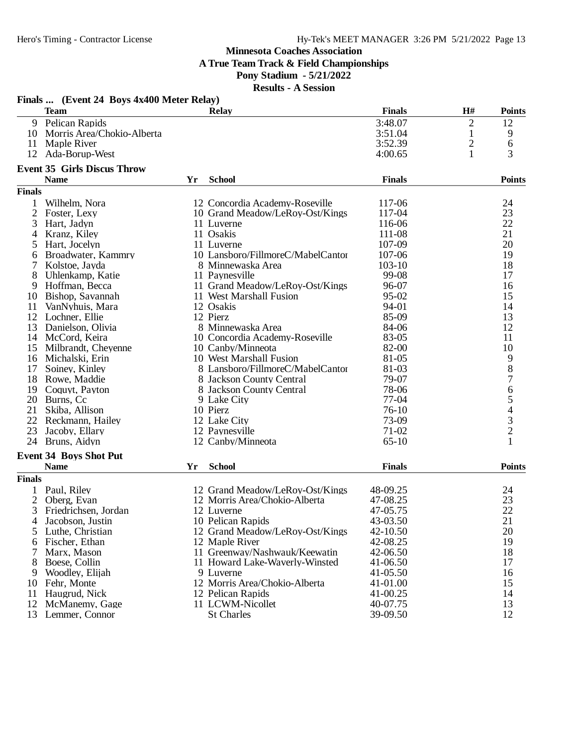**A True Team Track & Field Championships**

#### **Pony Stadium - 5/21/2022**

|                | Finals  (Event 24 Boys 4x400 Meter Relay) |    |                                   |               |                |                |
|----------------|-------------------------------------------|----|-----------------------------------|---------------|----------------|----------------|
|                | <b>Team</b>                               |    | <b>Relay</b>                      | <b>Finals</b> | H#             | <b>Points</b>  |
| 9              | Pelican Rapids                            |    |                                   | 3:48.07       | $\overline{2}$ | 12             |
| 10             | Morris Area/Chokio-Alberta                |    |                                   | 3:51.04       | 1              | 9              |
| 11             | Maple River                               |    |                                   | 3:52.39       | $\overline{c}$ | 6              |
| 12             | Ada-Borup-West                            |    |                                   | 4:00.65       | $\mathbf{1}$   | 3              |
|                | <b>Event 35 Girls Discus Throw</b>        |    |                                   |               |                |                |
|                | <b>Name</b>                               | Yr | <b>School</b>                     | <b>Finals</b> |                | <b>Points</b>  |
| <b>Finals</b>  |                                           |    |                                   |               |                |                |
| 1              | Wilhelm, Nora                             |    | 12 Concordia Academy-Roseville    | 117-06        |                | 24             |
| $\overline{2}$ | Foster, Lexy                              |    | 10 Grand Meadow/LeRoy-Ost/Kings   | 117-04        |                | 23             |
| 3              | Hart, Jadyn                               |    | 11 Luverne                        | 116-06        |                | 22             |
| 4              | Kranz, Kiley                              |    | 11 Osakis                         | 111-08        |                | 21             |
| 5              | Hart, Jocelyn                             |    | 11 Luverne                        | 107-09        |                | 20             |
| 6              | Broadwater, Kammry                        |    | 10 Lansboro/FillmoreC/MabelCantor | 107-06        |                | 19             |
| 7              | Kolstoe, Jayda                            |    | 8 Minnewaska Area                 | $103 - 10$    |                | 18             |
| 8              | Uhlenkamp, Katie                          |    | 11 Paynesville                    | 99-08         |                | 17             |
| 9              | Hoffman, Becca                            |    | 11 Grand Meadow/LeRoy-Ost/Kings   | 96-07         |                | 16             |
| 10             | Bishop, Savannah                          |    | 11 West Marshall Fusion           | 95-02         |                | 15             |
| 11             | VanNyhuis, Mara                           |    | 12 Osakis                         | 94-01         |                | 14             |
| 12             | Lochner, Ellie                            |    | 12 Pierz                          | 85-09         |                | 13             |
| 13             | Danielson, Olivia                         |    | 8 Minnewaska Area                 | 84-06         |                | 12             |
| 14             | McCord, Keira                             |    | 10 Concordia Academy-Roseville    | 83-05         |                | 11             |
| 15             | Milbrandt, Cheyenne                       |    | 10 Canby/Minneota                 | 82-00         |                | 10             |
| 16             | Michalski, Erin                           |    | 10 West Marshall Fusion           | 81-05         |                | 9              |
| 17             | Soiney, Kinley                            |    | 8 Lansboro/FillmoreC/MabelCantor  | 81-03         |                | $\bar{8}$      |
| 18             | Rowe, Maddie                              |    | 8 Jackson County Central          | 79-07         |                | $\overline{7}$ |
| 19             | Coquyt, Payton                            |    | 8 Jackson County Central          | 78-06         |                |                |
| 20             | Burns, Cc                                 |    | 9 Lake City                       | 77-04         |                |                |
| 21             | Skiba, Allison                            |    | 10 Pierz                          | $76-10$       |                |                |
| 22             | Reckmann, Hailey                          |    | 12 Lake City                      | 73-09         |                |                |
| 23             | Jacoby, Ellary                            |    | 12 Paynesville                    | $71-02$       |                | 65432          |
| 24             | Bruns, Aidyn                              |    | 12 Canby/Minneota                 | $65-10$       |                | $\mathbf{1}$   |
|                | <b>Event 34 Boys Shot Put</b>             |    |                                   |               |                |                |
|                | <b>Name</b>                               | Yr | <b>School</b>                     | <b>Finals</b> |                | <b>Points</b>  |
| <b>Finals</b>  |                                           |    |                                   |               |                |                |
|                | Paul, Riley                               |    | 12 Grand Meadow/LeRoy-Ost/Kings   | 48-09.25      |                | 24             |
| 2              | Oberg, Evan                               |    | 12 Morris Area/Chokio-Alberta     | 47-08.25      |                | 23             |
| 3              | Friedrichsen, Jordan                      |    | 12 Luverne                        | 47-05.75      |                | 22             |
| 4              | Jacobson, Justin                          |    | 10 Pelican Rapids                 | 43-03.50      |                | 21             |
| 5              | Luthe, Christian                          |    | 12 Grand Meadow/LeRoy-Ost/Kings   | 42-10.50      |                | 20             |
| 6              | Fischer, Ethan                            |    | 12 Maple River                    | 42-08.25      |                | 19             |
|                | Marx, Mason                               |    | 11 Greenway/Nashwauk/Keewatin     | 42-06.50      |                | 18             |
| 8              | Boese, Collin                             |    | 11 Howard Lake-Waverly-Winsted    | 41-06.50      |                | 17             |
| 9              | Woodley, Elijah                           |    | 9 Luverne                         | 41-05.50      |                | 16             |
| 10             | Fehr, Monte                               |    | 12 Morris Area/Chokio-Alberta     | 41-01.00      |                | 15             |
| 11             | Haugrud, Nick                             |    | 12 Pelican Rapids                 | 41-00.25      |                | 14             |
| 12             | McManemy, Gage                            |    | 11 LCWM-Nicollet                  | 40-07.75      |                | 13             |
| 13             | Lemmer, Connor                            |    | <b>St Charles</b>                 | 39-09.50      |                | 12             |
|                |                                           |    |                                   |               |                |                |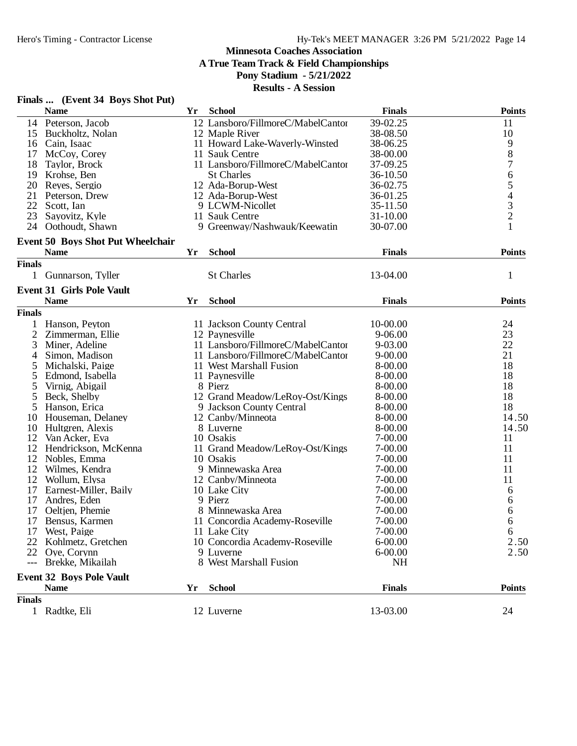## **Minnesota Coaches Association A True Team Track & Field Championships**

**Pony Stadium - 5/21/2022**

**Results - A Session**

|                | <b>Name</b>                       | Yr | <b>School</b>                     | <b>Finals</b> | <b>Points</b>                              |
|----------------|-----------------------------------|----|-----------------------------------|---------------|--------------------------------------------|
|                | 14 Peterson, Jacob                |    | 12 Lansboro/FillmoreC/MabelCantor | 39-02.25      | 11                                         |
| 15             | Buckholtz, Nolan                  |    | 12 Maple River                    | 38-08.50      | 10                                         |
| 16             | Cain, Isaac                       |    | 11 Howard Lake-Waverly-Winsted    | 38-06.25      |                                            |
| 17             | McCoy, Corey                      |    | 11 Sauk Centre                    | 38-00.00      | 9<br>8<br>7                                |
| 18             | Taylor, Brock                     |    | 11 Lansboro/FillmoreC/MabelCantor | 37-09.25      |                                            |
| 19             | Krohse, Ben                       |    | <b>St Charles</b>                 | 36-10.50      |                                            |
| 20             | Reyes, Sergio                     |    | 12 Ada-Borup-West                 | 36-02.75      | $\begin{array}{c} 6 \\ 5 \end{array}$      |
| 21             | Peterson, Drew                    |    | 12 Ada-Borup-West                 | 36-01.25      |                                            |
| 22             | Scott, Ian                        |    | 9 LCWM-Nicollet                   | 35-11.50      | $\begin{array}{c} 4 \\ 3 \\ 2 \end{array}$ |
| 23             | Sayovitz, Kyle                    |    | 11 Sauk Centre                    | $31 - 10.00$  |                                            |
| 24             | Oothoudt, Shawn                   |    | 9 Greenway/Nashwauk/Keewatin      | 30-07.00      | 1                                          |
|                | Event 50 Boys Shot Put Wheelchair |    |                                   |               |                                            |
|                | <b>Name</b>                       | Yr | <b>School</b>                     | <b>Finals</b> | <b>Points</b>                              |
| <b>Finals</b>  |                                   |    |                                   |               |                                            |
| 1              | Gunnarson, Tyller                 |    | <b>St Charles</b>                 | 13-04.00      | $\mathbf{1}$                               |
|                | <b>Event 31 Girls Pole Vault</b>  |    |                                   |               |                                            |
|                | <b>Name</b>                       | Yr | <b>School</b>                     | <b>Finals</b> | <b>Points</b>                              |
| <b>Finals</b>  |                                   |    |                                   |               |                                            |
|                | Hanson, Peyton                    |    | 11 Jackson County Central         | 10-00.00      | 24                                         |
| $\overline{2}$ | Zimmerman, Ellie                  |    | 12 Paynesville                    | $9 - 06.00$   | 23                                         |
| 3              | Miner, Adeline                    |    | 11 Lansboro/FillmoreC/MabelCantor | 9-03.00       | 22                                         |
| 4              | Simon, Madison                    |    | 11 Lansboro/FillmoreC/MabelCantor | $9 - 00.00$   | 21                                         |
| 5              | Michalski, Paige                  |    | 11 West Marshall Fusion           | 8-00.00       | 18                                         |
| 5              | Edmond, Isabella                  |    | 11 Paynesville                    | 8-00.00       | 18                                         |
| 5              | Virnig, Abigail                   |    | 8 Pierz                           | 8-00.00       | 18                                         |
| 5              | Beck, Shelby                      |    | 12 Grand Meadow/LeRoy-Ost/Kings   | 8-00.00       | 18                                         |
| 5              | Hanson, Erica                     |    | 9 Jackson County Central          | 8-00.00       | 18                                         |
| 10             | Houseman, Delaney                 |    | 12 Canby/Minneota                 | 8-00.00       | 14.50                                      |
| 10             | Hultgren, Alexis                  |    | 8 Luverne                         | 8-00.00       | 14.50                                      |
| 12             | Van Acker, Eva                    |    | 10 Osakis                         | 7-00.00       | 11                                         |
| 12             | Hendrickson, McKenna              |    | 11 Grand Meadow/LeRoy-Ost/Kings   | 7-00.00       | 11                                         |
| 12             | Nobles, Emma                      |    | 10 Osakis                         | 7-00.00       | 11                                         |
| 12             | Wilmes, Kendra                    |    | 9 Minnewaska Area                 | 7-00.00       | 11                                         |
| 12             | Wollum, Elysa                     |    | 12 Canby/Minneota                 | 7-00.00       | 11                                         |
| 17             | Earnest-Miller, Baily             |    | 10 Lake City                      | 7-00.00       | 6                                          |
| 17             | Andres, Eden                      |    | 9 Pierz                           | 7-00.00       | 6                                          |
| 17             | Oeltjen, Phemie                   |    | 8 Minnewaska Area                 | $7 - 00.00$   | 6                                          |
| 17             | Bensus, Karmen                    |    | 11 Concordia Academy-Roseville    | $7 - 00.00$   | 6                                          |
|                | 17 West, Paige                    |    | 11 Lake City                      | $7 - 00.00$   | 6                                          |
|                | 22 Kohlmetz, Gretchen             |    | 10 Concordia Academy-Roseville    | $6 - 00.00$   | 2.50                                       |
|                | 22 Oye, Corynn                    |    | 9 Luverne                         | $6 - 00.00$   | 2.50                                       |
|                | Brekke, Mikailah                  |    | 8 West Marshall Fusion            | <b>NH</b>     |                                            |
|                | <b>Event 32 Boys Pole Vault</b>   |    |                                   |               |                                            |
|                | <b>Name</b>                       | Yr | <b>School</b>                     | <b>Finals</b> | <b>Points</b>                              |
| <b>Finals</b>  |                                   |    |                                   |               |                                            |
|                | 1 Radtke, Eli                     |    | 12 Luverne                        | 13-03.00      | 24                                         |

## **Finals ... (Event 34 Boys Shot Put)**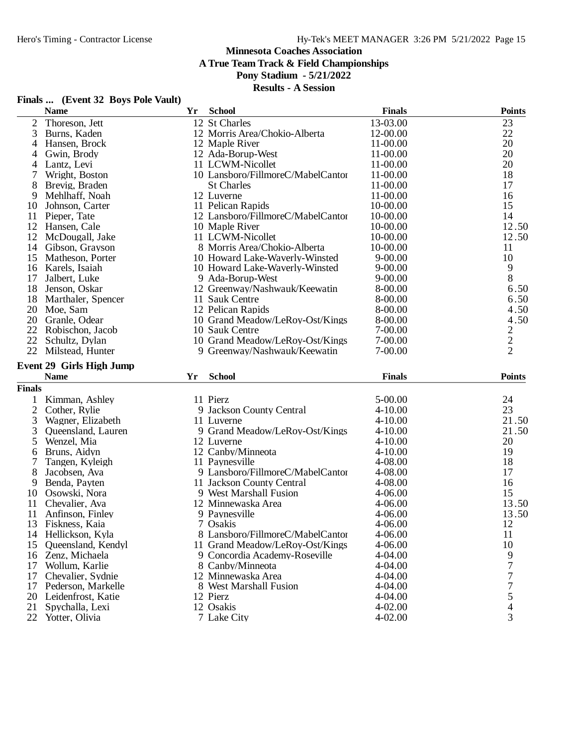**A True Team Track & Field Championships**

**Pony Stadium - 5/21/2022**

|               | Finals  (Event 32 Boys Pole Vault) |    |                                   |               |                               |
|---------------|------------------------------------|----|-----------------------------------|---------------|-------------------------------|
|               | <b>Name</b>                        | Yr | <b>School</b>                     | <b>Finals</b> | <b>Points</b>                 |
| 2             | Thoreson, Jett                     |    | 12 St Charles                     | 13-03.00      | 23                            |
| 3             | Burns, Kaden                       |    | 12 Morris Area/Chokio-Alberta     | 12-00.00      | 22                            |
| 4             | Hansen, Brock                      |    | 12 Maple River                    | 11-00.00      | 20                            |
| 4             | Gwin, Brody                        |    | 12 Ada-Borup-West                 | 11-00.00      | 20                            |
| 4             | Lantz, Levi                        |    | 11 LCWM-Nicollet                  | 11-00.00      | 20                            |
| 7             | Wright, Boston                     |    | 10 Lansboro/FillmoreC/MabelCantor | 11-00.00      | 18                            |
| 8             | Brevig, Braden                     |    | <b>St Charles</b>                 | 11-00.00      | 17                            |
| 9             | Mehlhaff, Noah                     |    | 12 Luverne                        | 11-00.00      | 16                            |
|               | 10 Johnson, Carter                 |    | 11 Pelican Rapids                 | 10-00.00      | 15                            |
| 11            | Pieper, Tate                       |    | 12 Lansboro/FillmoreC/MabelCantor | 10-00.00      | 14                            |
| 12            | Hansen, Cale                       |    | 10 Maple River                    | 10-00.00      | 12.50                         |
|               | 12 McDougall, Jake                 |    | 11 LCWM-Nicollet                  | 10-00.00      | 12.50                         |
| 14            | Gibson, Grayson                    |    | 8 Morris Area/Chokio-Alberta      | 10-00.00      | 11                            |
| 15            | Matheson, Porter                   |    | 10 Howard Lake-Waverly-Winsted    | $9 - 00.00$   | 10                            |
| 16            | Karels, Isaiah                     |    | 10 Howard Lake-Waverly-Winsted    | $9 - 00.00$   | 9                             |
| 17            | Jalbert, Luke                      |    | 9 Ada-Borup-West                  | $9 - 00.00$   | 8                             |
| 18            | Jenson, Oskar                      |    | 12 Greenway/Nashwauk/Keewatin     | 8-00.00       | 6.50                          |
|               | 18 Marthaler, Spencer              |    | 11 Sauk Centre                    | 8-00.00       | 6.50                          |
| 20            | Moe, Sam                           |    | 12 Pelican Rapids                 | 8-00.00       | 4.50                          |
| 20            | Granle, Odear                      |    | 10 Grand Meadow/LeRoy-Ost/Kings   | 8-00.00       | 4.50                          |
| 22            | Robischon, Jacob                   |    | 10 Sauk Centre                    | 7-00.00       |                               |
| 22            | Schultz, Dylan                     |    | 10 Grand Meadow/LeRoy-Ost/Kings   | 7-00.00       | $\frac{2}{2}$                 |
| 22            | Milstead, Hunter                   |    | 9 Greenway/Nashwauk/Keewatin      | 7-00.00       |                               |
|               | <b>Event 29 Girls High Jump</b>    |    |                                   |               |                               |
|               | <b>Name</b>                        | Yr | <b>School</b>                     | <b>Finals</b> | <b>Points</b>                 |
| <b>Finals</b> |                                    |    |                                   |               |                               |
| 1             | Kimman, Ashley                     |    | 11 Pierz                          | 5-00.00       | 24                            |
| 2             | Cother, Rylie                      |    | 9 Jackson County Central          | $4 - 10.00$   | 23                            |
| 3             | Wagner, Elizabeth                  |    | 11 Luverne                        | $4 - 10.00$   | 21.50                         |
| 3             | Queensland, Lauren                 |    | 9 Grand Meadow/LeRoy-Ost/Kings    | $4 - 10.00$   | 21.50                         |
| 5             | Wenzel, Mia                        |    | 12 Luverne                        | $4 - 10.00$   | 20                            |
| 6             | Bruns, Aidyn                       |    | 12 Canby/Minneota                 | $4 - 10.00$   | 19                            |
| 7             | Tangen, Kyleigh                    |    | 11 Paynesville                    | 4-08.00       | 18                            |
| 8             | Jacobsen, Ava                      |    | 9 Lansboro/FillmoreC/MabelCantor  | 4-08.00       | 17                            |
| 9             | Benda, Payten                      |    | 11 Jackson County Central         | 4-08.00       | 16                            |
| 10            | Osowski, Nora                      |    | 9 West Marshall Fusion            | $4 - 06.00$   | 15                            |
| 11            | Chevalier, Ava                     |    | 12 Minnewaska Area                | $4 - 06.00$   | 13.50                         |
| 11            | Anfinson, Finley                   |    | 9 Paynesville                     | 4-06.00       | 13.50                         |
| 13            | Fiskness, Kaia                     |    | 7 Osakis                          | 4-06.00       | 12                            |
| 14            | Hellickson, Kyla                   |    | 8 Lansboro/FillmoreC/MabelCantor  | 4-06.00       | 11                            |
| 15            | Queensland, Kendyl                 |    | 11 Grand Meadow/LeRoy-Ost/Kings   | 4-06.00       | 10                            |
|               | 16 Zenz, Michaela                  |    | 9 Concordia Academy-Roseville     | 4-04.00       | 9                             |
| 17            | Wollum, Karlie                     |    | 8 Canby/Minneota                  | $4 - 04.00$   | 7                             |
| 17            | Chevalier, Sydnie                  |    | 12 Minnewaska Area                | 4-04.00       | 7                             |
| 17            | Pederson, Markelle                 |    | 8 West Marshall Fusion            | $4 - 04.00$   | 7                             |
|               | 20 Leidenfrost, Katie              |    | 12 Pierz                          | $4 - 04.00$   | 5                             |
|               |                                    |    |                                   |               |                               |
| 21            | Spychalla, Lexi                    |    | 12 Osakis                         | 4-02.00       | $\overline{\mathcal{A}}$<br>3 |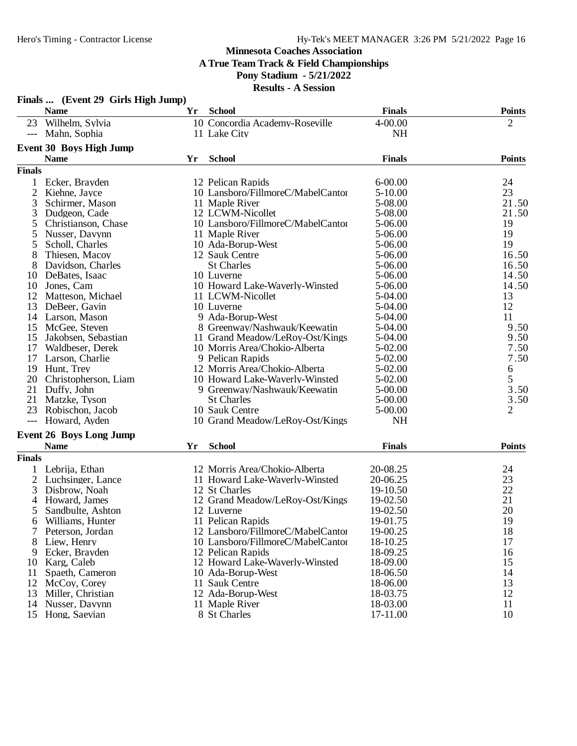#### **Minnesota Coaches Association A True Team Track & Field Championships Pony Stadium - 5/21/2022**

|                | Finals  (Event 29 Girls High Jump) |    |                                   |               |                |
|----------------|------------------------------------|----|-----------------------------------|---------------|----------------|
|                | <b>Name</b>                        | Yr | <b>School</b>                     | <b>Finals</b> | <b>Points</b>  |
| 23             | Wilhelm, Sylvia                    |    | 10 Concordia Academy-Roseville    | 4-00.00       | $\overline{2}$ |
|                | --- Mahn, Sophia                   |    | 11 Lake City                      | <b>NH</b>     |                |
|                | Event 30 Boys High Jump            |    |                                   |               |                |
|                | <b>Name</b>                        | Yr | <b>School</b>                     | <b>Finals</b> | <b>Points</b>  |
| <b>Finals</b>  |                                    |    |                                   |               |                |
|                | Ecker, Brayden                     |    | 12 Pelican Rapids                 | $6 - 00.00$   | 24             |
| 2              | Kiehne, Jayce                      |    | 10 Lansboro/FillmoreC/MabelCantor | $5 - 10.00$   | 23             |
| 3              | Schirmer, Mason                    |    | 11 Maple River                    | 5-08.00       | 21.50          |
| 3              | Dudgeon, Cade                      |    | 12 LCWM-Nicollet                  | 5-08.00       | 21.50          |
| 5              | Christianson, Chase                |    | 10 Lansboro/FillmoreC/MabelCantor | 5-06.00       | 19             |
| 5              | Nusser, Davynn                     |    | 11 Maple River                    | 5-06.00       | 19             |
| 5              | Scholl, Charles                    |    | 10 Ada-Borup-West                 | 5-06.00       | 19             |
| 8              | Thiesen, Macoy                     |    | 12 Sauk Centre                    | 5-06.00       | 16.50          |
| 8              | Davidson, Charles                  |    | <b>St Charles</b>                 | 5-06.00       | 16.50          |
| 10             | DeBates, Isaac                     |    | 10 Luverne                        | 5-06.00       | 14.50          |
| 10             | Jones, Cam                         |    | 10 Howard Lake-Waverly-Winsted    | 5-06.00       | 14.50          |
| 12             | Matteson, Michael                  |    | 11 LCWM-Nicollet                  | 5-04.00       | 13             |
| 13             | DeBeer, Gavin                      |    | 10 Luverne                        | 5-04.00       | 12             |
|                | 14 Larson, Mason                   |    | 9 Ada-Borup-West                  | 5-04.00       | 11             |
| 15             | McGee, Steven                      |    | 8 Greenway/Nashwauk/Keewatin      | 5-04.00       | 9.50           |
| 15             | Jakobsen, Sebastian                |    | 11 Grand Meadow/LeRoy-Ost/Kings   | 5-04.00       | 9.50           |
| 17             | Waldbeser, Derek                   |    | 10 Morris Area/Chokio-Alberta     | 5-02.00       | 7.50           |
| 17             | Larson, Charlie                    |    | 9 Pelican Rapids                  | 5-02.00       | 7.50           |
| 19             | Hunt, Trey                         |    | 12 Morris Area/Chokio-Alberta     | $5-02.00$     | 6              |
| 20             | Christopherson, Liam               |    | 10 Howard Lake-Waverly-Winsted    | 5-02.00       | 5              |
| 21             | Duffy, John                        |    | 9 Greenway/Nashwauk/Keewatin      | $5 - 00.00$   | 3.50           |
| 21             | Matzke, Tyson                      |    | <b>St Charles</b>                 | $5 - 00.00$   | 3.50           |
| 23             | Robischon, Jacob                   |    | 10 Sauk Centre                    | 5-00.00       | 2              |
| $---$          | Howard, Ayden                      |    | 10 Grand Meadow/LeRoy-Ost/Kings   | <b>NH</b>     |                |
|                |                                    |    |                                   |               |                |
|                | <b>Event 26 Boys Long Jump</b>     |    |                                   |               |                |
|                | <b>Name</b>                        | Yr | <b>School</b>                     | <b>Finals</b> | <b>Points</b>  |
| <b>Finals</b>  |                                    |    |                                   |               |                |
|                | Lebrija, Ethan                     |    | 12 Morris Area/Chokio-Alberta     | 20-08.25      | 24             |
| 2              | Luchsinger, Lance                  |    | 11 Howard Lake-Waverly-Winsted    | 20-06.25      | 23             |
| 3              | Disbrow, Noah                      |    | 12 St Charles                     | 19-10.50      | 22             |
| $\overline{4}$ | Howard, James                      |    | 12 Grand Meadow/LeRoy-Ost/Kings   | 19-02.50      | 21             |
|                | Sandbulte, Ashton                  |    | 12 Luverne                        | 19-02.50      | 20             |
|                | Williams, Hunter                   |    | 11 Pelican Rapids                 | 19-01.75      | 19             |
|                | Peterson, Jordan                   |    | 12 Lansboro/FillmoreC/MabelCantor | 19-00.25      | 18             |
| 8              | Liew, Henry                        |    | 10 Lansboro/FillmoreC/MabelCantor | 18-10.25      | 17             |
| 9              | Ecker, Brayden                     |    | 12 Pelican Rapids                 | 18-09.25      | 16             |
| 10             | Karg, Caleb                        |    | 12 Howard Lake-Waverly-Winsted    | 18-09.00      | 15             |
| 11             | Spaeth, Cameron                    |    | 10 Ada-Borup-West                 | 18-06.50      | 14             |
| 12             | McCoy, Corey                       |    | 11 Sauk Centre                    | 18-06.00      | 13             |
| 13             | Miller, Christian                  |    | 12 Ada-Borup-West                 | 18-03.75      | 12             |
| 14             | Nusser, Davynn                     |    | 11 Maple River                    | 18-03.00      | 11             |
| 15             | Hong, Saevian                      |    | 8 St Charles                      | 17-11.00      | 10             |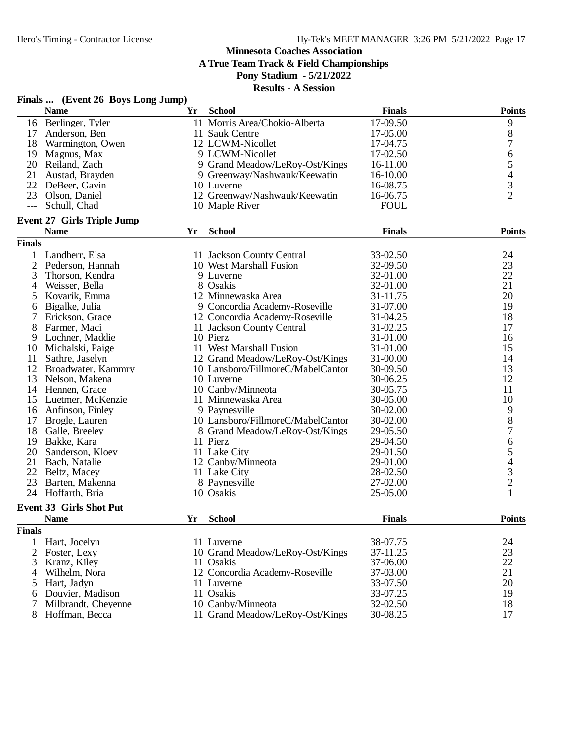**A True Team Track & Field Championships**

**Pony Stadium - 5/21/2022**

| <b>School</b><br><b>Finals</b><br><b>Points</b><br><b>Name</b><br>Yr<br>16 Berlinger, Tyler<br>11 Morris Area/Chokio-Alberta<br>17-09.50<br>9<br>$8\,$<br>11 Sauk Centre<br>17-05.00<br>17<br>Anderson, Ben<br>$\boldsymbol{7}$<br>12 LCWM-Nicollet<br>17-04.75<br>18<br>Warmington, Owen<br>6<br>9 LCWM-Nicollet<br>17-02.50<br>19<br>Magnus, Max<br>$\begin{array}{c} 5 \\ 4 \\ 3 \\ 2 \end{array}$<br>20 Reiland, Zach<br>9 Grand Meadow/LeRoy-Ost/Kings<br>16-11.00<br>21<br>16-10.00<br>Austad, Brayden<br>9 Greenway/Nashwauk/Keewatin<br>22<br>DeBeer, Gavin<br>10 Luverne<br>16-08.75<br>23<br>12 Greenway/Nashwauk/Keewatin<br>16-06.75<br>Olson, Daniel<br><b>FOUL</b><br>Schull, Chad<br>10 Maple River<br>$---$<br><b>Event 27 Girls Triple Jump</b><br><b>School</b><br><b>Finals</b><br><b>Points</b><br><b>Name</b><br>Yr<br><b>Finals</b><br>$\mathbf{1}$<br>Landherr, Elsa<br>11 Jackson County Central<br>33-02.50<br>24<br>23<br>$\overline{2}$<br>Pederson, Hannah<br>10 West Marshall Fusion<br>32-09.50<br>22<br>3<br>32-01.00<br>Thorson, Kendra<br>9 Luverne<br>21<br>8 Osakis<br>Weisser, Bella<br>32-01.00<br>4<br>20<br>12 Minnewaska Area<br>Kovarik, Emma<br>31-11.75<br>5<br>19<br>31-07.00<br>9 Concordia Academy-Roseville<br>6<br>Bigalke, Julia<br>18<br>7<br>Erickson, Grace<br>12 Concordia Academy-Roseville<br>31-04.25<br>8<br>17<br>Farmer, Maci<br>11 Jackson County Central<br>31-02.25<br>9<br>Lochner, Maddie<br>10 Pierz<br>31-01.00<br>16<br>11 West Marshall Fusion<br>31-01.00<br>15<br>10<br>Michalski, Paige<br>31-00.00<br>14<br>11<br>Sathre, Jaselyn<br>12 Grand Meadow/LeRoy-Ost/Kings<br>13<br>12<br>30-09.50<br>Broadwater, Kammry<br>10 Lansboro/FillmoreC/MabelCantor<br>12<br>10 Luverne<br>30-06.25<br>13<br>Nelson, Makena<br>11<br>Hennen, Grace<br>10 Canby/Minneota<br>30-05.75<br>14<br>10<br>Luetmer, McKenzie<br>11 Minnewaska Area<br>30-05.00<br>15<br>9<br>9 Paynesville<br>Anfinson, Finley<br>30-02.00<br>16<br>$\,8\,$<br>10 Lansboro/FillmoreC/MabelCantor<br>17<br>30-02.00<br>Brogle, Lauren<br>$\boldsymbol{7}$<br>18<br>29-05.50<br>Galle, Breeley<br>8 Grand Meadow/LeRoy-Ost/Kings<br>$\begin{array}{c} 6 \\ 5 \end{array}$<br>29-04.50<br>19<br>Bakke, Kara<br>11 Pierz<br>20<br>Sanderson, Kloey<br>11 Lake City<br>29-01.50<br>$\begin{array}{c} 4 \\ 3 \\ 2 \end{array}$<br>21<br>Bach, Natalie<br>12 Canby/Minneota<br>29-01.00<br>22<br>Beltz, Macey<br>11 Lake City<br>28-02.50<br>27-02.00<br>23<br>Barten, Makenna<br>8 Paynesville<br>1<br>24<br>Hoffarth, Bria<br>10 Osakis<br>25-05.00<br><b>Event 33 Girls Shot Put</b><br><b>School</b><br>Yr<br><b>Finals</b><br><b>Name</b><br><b>Points</b><br><b>Finals</b><br>38-07.75<br>24<br>Hart, Jocelyn<br>11 Luverne<br>1<br>23<br>$\overline{2}$<br>10 Grand Meadow/LeRoy-Ost/Kings<br>Foster, Lexy<br>37-11.25<br>22<br>Kranz, Kiley<br>37-06.00<br>3<br>11 Osakis<br>21<br>12 Concordia Academy-Roseville<br>37-03.00<br>Wilhelm, Nora<br>4<br>20<br>Hart, Jadyn<br>33-07.50<br>11 Luverne<br>5<br>11 Osakis<br>33-07.25<br>19<br>Douvier, Madison<br>6<br>Milbrandt, Cheyenne<br>10 Canby/Minneota<br>32-02.50<br>18<br>Hoffman, Becca<br>11 Grand Meadow/LeRoy-Ost/Kings<br>30-08.25<br>17<br>8 | Finals  (Event 26 Boys Long Jump) |  |  |
|------------------------------------------------------------------------------------------------------------------------------------------------------------------------------------------------------------------------------------------------------------------------------------------------------------------------------------------------------------------------------------------------------------------------------------------------------------------------------------------------------------------------------------------------------------------------------------------------------------------------------------------------------------------------------------------------------------------------------------------------------------------------------------------------------------------------------------------------------------------------------------------------------------------------------------------------------------------------------------------------------------------------------------------------------------------------------------------------------------------------------------------------------------------------------------------------------------------------------------------------------------------------------------------------------------------------------------------------------------------------------------------------------------------------------------------------------------------------------------------------------------------------------------------------------------------------------------------------------------------------------------------------------------------------------------------------------------------------------------------------------------------------------------------------------------------------------------------------------------------------------------------------------------------------------------------------------------------------------------------------------------------------------------------------------------------------------------------------------------------------------------------------------------------------------------------------------------------------------------------------------------------------------------------------------------------------------------------------------------------------------------------------------------------------------------------------------------------------------------------------------------------------------------------------------------------------------------------------------------------------------------------------------------------------------------------------------------------------------------------------------------------------------------------------------------------------------------------------------------------------------------------------------------------------------------------------------------------------------------------------------------------------------------------------------------------------------------------------------------------------------------------------------------------------------------------------------------------------------------------------|-----------------------------------|--|--|
|                                                                                                                                                                                                                                                                                                                                                                                                                                                                                                                                                                                                                                                                                                                                                                                                                                                                                                                                                                                                                                                                                                                                                                                                                                                                                                                                                                                                                                                                                                                                                                                                                                                                                                                                                                                                                                                                                                                                                                                                                                                                                                                                                                                                                                                                                                                                                                                                                                                                                                                                                                                                                                                                                                                                                                                                                                                                                                                                                                                                                                                                                                                                                                                                                                                |                                   |  |  |
|                                                                                                                                                                                                                                                                                                                                                                                                                                                                                                                                                                                                                                                                                                                                                                                                                                                                                                                                                                                                                                                                                                                                                                                                                                                                                                                                                                                                                                                                                                                                                                                                                                                                                                                                                                                                                                                                                                                                                                                                                                                                                                                                                                                                                                                                                                                                                                                                                                                                                                                                                                                                                                                                                                                                                                                                                                                                                                                                                                                                                                                                                                                                                                                                                                                |                                   |  |  |
|                                                                                                                                                                                                                                                                                                                                                                                                                                                                                                                                                                                                                                                                                                                                                                                                                                                                                                                                                                                                                                                                                                                                                                                                                                                                                                                                                                                                                                                                                                                                                                                                                                                                                                                                                                                                                                                                                                                                                                                                                                                                                                                                                                                                                                                                                                                                                                                                                                                                                                                                                                                                                                                                                                                                                                                                                                                                                                                                                                                                                                                                                                                                                                                                                                                |                                   |  |  |
|                                                                                                                                                                                                                                                                                                                                                                                                                                                                                                                                                                                                                                                                                                                                                                                                                                                                                                                                                                                                                                                                                                                                                                                                                                                                                                                                                                                                                                                                                                                                                                                                                                                                                                                                                                                                                                                                                                                                                                                                                                                                                                                                                                                                                                                                                                                                                                                                                                                                                                                                                                                                                                                                                                                                                                                                                                                                                                                                                                                                                                                                                                                                                                                                                                                |                                   |  |  |
|                                                                                                                                                                                                                                                                                                                                                                                                                                                                                                                                                                                                                                                                                                                                                                                                                                                                                                                                                                                                                                                                                                                                                                                                                                                                                                                                                                                                                                                                                                                                                                                                                                                                                                                                                                                                                                                                                                                                                                                                                                                                                                                                                                                                                                                                                                                                                                                                                                                                                                                                                                                                                                                                                                                                                                                                                                                                                                                                                                                                                                                                                                                                                                                                                                                |                                   |  |  |
|                                                                                                                                                                                                                                                                                                                                                                                                                                                                                                                                                                                                                                                                                                                                                                                                                                                                                                                                                                                                                                                                                                                                                                                                                                                                                                                                                                                                                                                                                                                                                                                                                                                                                                                                                                                                                                                                                                                                                                                                                                                                                                                                                                                                                                                                                                                                                                                                                                                                                                                                                                                                                                                                                                                                                                                                                                                                                                                                                                                                                                                                                                                                                                                                                                                |                                   |  |  |
|                                                                                                                                                                                                                                                                                                                                                                                                                                                                                                                                                                                                                                                                                                                                                                                                                                                                                                                                                                                                                                                                                                                                                                                                                                                                                                                                                                                                                                                                                                                                                                                                                                                                                                                                                                                                                                                                                                                                                                                                                                                                                                                                                                                                                                                                                                                                                                                                                                                                                                                                                                                                                                                                                                                                                                                                                                                                                                                                                                                                                                                                                                                                                                                                                                                |                                   |  |  |
|                                                                                                                                                                                                                                                                                                                                                                                                                                                                                                                                                                                                                                                                                                                                                                                                                                                                                                                                                                                                                                                                                                                                                                                                                                                                                                                                                                                                                                                                                                                                                                                                                                                                                                                                                                                                                                                                                                                                                                                                                                                                                                                                                                                                                                                                                                                                                                                                                                                                                                                                                                                                                                                                                                                                                                                                                                                                                                                                                                                                                                                                                                                                                                                                                                                |                                   |  |  |
|                                                                                                                                                                                                                                                                                                                                                                                                                                                                                                                                                                                                                                                                                                                                                                                                                                                                                                                                                                                                                                                                                                                                                                                                                                                                                                                                                                                                                                                                                                                                                                                                                                                                                                                                                                                                                                                                                                                                                                                                                                                                                                                                                                                                                                                                                                                                                                                                                                                                                                                                                                                                                                                                                                                                                                                                                                                                                                                                                                                                                                                                                                                                                                                                                                                |                                   |  |  |
|                                                                                                                                                                                                                                                                                                                                                                                                                                                                                                                                                                                                                                                                                                                                                                                                                                                                                                                                                                                                                                                                                                                                                                                                                                                                                                                                                                                                                                                                                                                                                                                                                                                                                                                                                                                                                                                                                                                                                                                                                                                                                                                                                                                                                                                                                                                                                                                                                                                                                                                                                                                                                                                                                                                                                                                                                                                                                                                                                                                                                                                                                                                                                                                                                                                |                                   |  |  |
|                                                                                                                                                                                                                                                                                                                                                                                                                                                                                                                                                                                                                                                                                                                                                                                                                                                                                                                                                                                                                                                                                                                                                                                                                                                                                                                                                                                                                                                                                                                                                                                                                                                                                                                                                                                                                                                                                                                                                                                                                                                                                                                                                                                                                                                                                                                                                                                                                                                                                                                                                                                                                                                                                                                                                                                                                                                                                                                                                                                                                                                                                                                                                                                                                                                |                                   |  |  |
|                                                                                                                                                                                                                                                                                                                                                                                                                                                                                                                                                                                                                                                                                                                                                                                                                                                                                                                                                                                                                                                                                                                                                                                                                                                                                                                                                                                                                                                                                                                                                                                                                                                                                                                                                                                                                                                                                                                                                                                                                                                                                                                                                                                                                                                                                                                                                                                                                                                                                                                                                                                                                                                                                                                                                                                                                                                                                                                                                                                                                                                                                                                                                                                                                                                |                                   |  |  |
|                                                                                                                                                                                                                                                                                                                                                                                                                                                                                                                                                                                                                                                                                                                                                                                                                                                                                                                                                                                                                                                                                                                                                                                                                                                                                                                                                                                                                                                                                                                                                                                                                                                                                                                                                                                                                                                                                                                                                                                                                                                                                                                                                                                                                                                                                                                                                                                                                                                                                                                                                                                                                                                                                                                                                                                                                                                                                                                                                                                                                                                                                                                                                                                                                                                |                                   |  |  |
|                                                                                                                                                                                                                                                                                                                                                                                                                                                                                                                                                                                                                                                                                                                                                                                                                                                                                                                                                                                                                                                                                                                                                                                                                                                                                                                                                                                                                                                                                                                                                                                                                                                                                                                                                                                                                                                                                                                                                                                                                                                                                                                                                                                                                                                                                                                                                                                                                                                                                                                                                                                                                                                                                                                                                                                                                                                                                                                                                                                                                                                                                                                                                                                                                                                |                                   |  |  |
|                                                                                                                                                                                                                                                                                                                                                                                                                                                                                                                                                                                                                                                                                                                                                                                                                                                                                                                                                                                                                                                                                                                                                                                                                                                                                                                                                                                                                                                                                                                                                                                                                                                                                                                                                                                                                                                                                                                                                                                                                                                                                                                                                                                                                                                                                                                                                                                                                                                                                                                                                                                                                                                                                                                                                                                                                                                                                                                                                                                                                                                                                                                                                                                                                                                |                                   |  |  |
|                                                                                                                                                                                                                                                                                                                                                                                                                                                                                                                                                                                                                                                                                                                                                                                                                                                                                                                                                                                                                                                                                                                                                                                                                                                                                                                                                                                                                                                                                                                                                                                                                                                                                                                                                                                                                                                                                                                                                                                                                                                                                                                                                                                                                                                                                                                                                                                                                                                                                                                                                                                                                                                                                                                                                                                                                                                                                                                                                                                                                                                                                                                                                                                                                                                |                                   |  |  |
|                                                                                                                                                                                                                                                                                                                                                                                                                                                                                                                                                                                                                                                                                                                                                                                                                                                                                                                                                                                                                                                                                                                                                                                                                                                                                                                                                                                                                                                                                                                                                                                                                                                                                                                                                                                                                                                                                                                                                                                                                                                                                                                                                                                                                                                                                                                                                                                                                                                                                                                                                                                                                                                                                                                                                                                                                                                                                                                                                                                                                                                                                                                                                                                                                                                |                                   |  |  |
|                                                                                                                                                                                                                                                                                                                                                                                                                                                                                                                                                                                                                                                                                                                                                                                                                                                                                                                                                                                                                                                                                                                                                                                                                                                                                                                                                                                                                                                                                                                                                                                                                                                                                                                                                                                                                                                                                                                                                                                                                                                                                                                                                                                                                                                                                                                                                                                                                                                                                                                                                                                                                                                                                                                                                                                                                                                                                                                                                                                                                                                                                                                                                                                                                                                |                                   |  |  |
|                                                                                                                                                                                                                                                                                                                                                                                                                                                                                                                                                                                                                                                                                                                                                                                                                                                                                                                                                                                                                                                                                                                                                                                                                                                                                                                                                                                                                                                                                                                                                                                                                                                                                                                                                                                                                                                                                                                                                                                                                                                                                                                                                                                                                                                                                                                                                                                                                                                                                                                                                                                                                                                                                                                                                                                                                                                                                                                                                                                                                                                                                                                                                                                                                                                |                                   |  |  |
|                                                                                                                                                                                                                                                                                                                                                                                                                                                                                                                                                                                                                                                                                                                                                                                                                                                                                                                                                                                                                                                                                                                                                                                                                                                                                                                                                                                                                                                                                                                                                                                                                                                                                                                                                                                                                                                                                                                                                                                                                                                                                                                                                                                                                                                                                                                                                                                                                                                                                                                                                                                                                                                                                                                                                                                                                                                                                                                                                                                                                                                                                                                                                                                                                                                |                                   |  |  |
|                                                                                                                                                                                                                                                                                                                                                                                                                                                                                                                                                                                                                                                                                                                                                                                                                                                                                                                                                                                                                                                                                                                                                                                                                                                                                                                                                                                                                                                                                                                                                                                                                                                                                                                                                                                                                                                                                                                                                                                                                                                                                                                                                                                                                                                                                                                                                                                                                                                                                                                                                                                                                                                                                                                                                                                                                                                                                                                                                                                                                                                                                                                                                                                                                                                |                                   |  |  |
|                                                                                                                                                                                                                                                                                                                                                                                                                                                                                                                                                                                                                                                                                                                                                                                                                                                                                                                                                                                                                                                                                                                                                                                                                                                                                                                                                                                                                                                                                                                                                                                                                                                                                                                                                                                                                                                                                                                                                                                                                                                                                                                                                                                                                                                                                                                                                                                                                                                                                                                                                                                                                                                                                                                                                                                                                                                                                                                                                                                                                                                                                                                                                                                                                                                |                                   |  |  |
|                                                                                                                                                                                                                                                                                                                                                                                                                                                                                                                                                                                                                                                                                                                                                                                                                                                                                                                                                                                                                                                                                                                                                                                                                                                                                                                                                                                                                                                                                                                                                                                                                                                                                                                                                                                                                                                                                                                                                                                                                                                                                                                                                                                                                                                                                                                                                                                                                                                                                                                                                                                                                                                                                                                                                                                                                                                                                                                                                                                                                                                                                                                                                                                                                                                |                                   |  |  |
|                                                                                                                                                                                                                                                                                                                                                                                                                                                                                                                                                                                                                                                                                                                                                                                                                                                                                                                                                                                                                                                                                                                                                                                                                                                                                                                                                                                                                                                                                                                                                                                                                                                                                                                                                                                                                                                                                                                                                                                                                                                                                                                                                                                                                                                                                                                                                                                                                                                                                                                                                                                                                                                                                                                                                                                                                                                                                                                                                                                                                                                                                                                                                                                                                                                |                                   |  |  |
|                                                                                                                                                                                                                                                                                                                                                                                                                                                                                                                                                                                                                                                                                                                                                                                                                                                                                                                                                                                                                                                                                                                                                                                                                                                                                                                                                                                                                                                                                                                                                                                                                                                                                                                                                                                                                                                                                                                                                                                                                                                                                                                                                                                                                                                                                                                                                                                                                                                                                                                                                                                                                                                                                                                                                                                                                                                                                                                                                                                                                                                                                                                                                                                                                                                |                                   |  |  |
|                                                                                                                                                                                                                                                                                                                                                                                                                                                                                                                                                                                                                                                                                                                                                                                                                                                                                                                                                                                                                                                                                                                                                                                                                                                                                                                                                                                                                                                                                                                                                                                                                                                                                                                                                                                                                                                                                                                                                                                                                                                                                                                                                                                                                                                                                                                                                                                                                                                                                                                                                                                                                                                                                                                                                                                                                                                                                                                                                                                                                                                                                                                                                                                                                                                |                                   |  |  |
|                                                                                                                                                                                                                                                                                                                                                                                                                                                                                                                                                                                                                                                                                                                                                                                                                                                                                                                                                                                                                                                                                                                                                                                                                                                                                                                                                                                                                                                                                                                                                                                                                                                                                                                                                                                                                                                                                                                                                                                                                                                                                                                                                                                                                                                                                                                                                                                                                                                                                                                                                                                                                                                                                                                                                                                                                                                                                                                                                                                                                                                                                                                                                                                                                                                |                                   |  |  |
|                                                                                                                                                                                                                                                                                                                                                                                                                                                                                                                                                                                                                                                                                                                                                                                                                                                                                                                                                                                                                                                                                                                                                                                                                                                                                                                                                                                                                                                                                                                                                                                                                                                                                                                                                                                                                                                                                                                                                                                                                                                                                                                                                                                                                                                                                                                                                                                                                                                                                                                                                                                                                                                                                                                                                                                                                                                                                                                                                                                                                                                                                                                                                                                                                                                |                                   |  |  |
|                                                                                                                                                                                                                                                                                                                                                                                                                                                                                                                                                                                                                                                                                                                                                                                                                                                                                                                                                                                                                                                                                                                                                                                                                                                                                                                                                                                                                                                                                                                                                                                                                                                                                                                                                                                                                                                                                                                                                                                                                                                                                                                                                                                                                                                                                                                                                                                                                                                                                                                                                                                                                                                                                                                                                                                                                                                                                                                                                                                                                                                                                                                                                                                                                                                |                                   |  |  |
|                                                                                                                                                                                                                                                                                                                                                                                                                                                                                                                                                                                                                                                                                                                                                                                                                                                                                                                                                                                                                                                                                                                                                                                                                                                                                                                                                                                                                                                                                                                                                                                                                                                                                                                                                                                                                                                                                                                                                                                                                                                                                                                                                                                                                                                                                                                                                                                                                                                                                                                                                                                                                                                                                                                                                                                                                                                                                                                                                                                                                                                                                                                                                                                                                                                |                                   |  |  |
|                                                                                                                                                                                                                                                                                                                                                                                                                                                                                                                                                                                                                                                                                                                                                                                                                                                                                                                                                                                                                                                                                                                                                                                                                                                                                                                                                                                                                                                                                                                                                                                                                                                                                                                                                                                                                                                                                                                                                                                                                                                                                                                                                                                                                                                                                                                                                                                                                                                                                                                                                                                                                                                                                                                                                                                                                                                                                                                                                                                                                                                                                                                                                                                                                                                |                                   |  |  |
|                                                                                                                                                                                                                                                                                                                                                                                                                                                                                                                                                                                                                                                                                                                                                                                                                                                                                                                                                                                                                                                                                                                                                                                                                                                                                                                                                                                                                                                                                                                                                                                                                                                                                                                                                                                                                                                                                                                                                                                                                                                                                                                                                                                                                                                                                                                                                                                                                                                                                                                                                                                                                                                                                                                                                                                                                                                                                                                                                                                                                                                                                                                                                                                                                                                |                                   |  |  |
|                                                                                                                                                                                                                                                                                                                                                                                                                                                                                                                                                                                                                                                                                                                                                                                                                                                                                                                                                                                                                                                                                                                                                                                                                                                                                                                                                                                                                                                                                                                                                                                                                                                                                                                                                                                                                                                                                                                                                                                                                                                                                                                                                                                                                                                                                                                                                                                                                                                                                                                                                                                                                                                                                                                                                                                                                                                                                                                                                                                                                                                                                                                                                                                                                                                |                                   |  |  |
|                                                                                                                                                                                                                                                                                                                                                                                                                                                                                                                                                                                                                                                                                                                                                                                                                                                                                                                                                                                                                                                                                                                                                                                                                                                                                                                                                                                                                                                                                                                                                                                                                                                                                                                                                                                                                                                                                                                                                                                                                                                                                                                                                                                                                                                                                                                                                                                                                                                                                                                                                                                                                                                                                                                                                                                                                                                                                                                                                                                                                                                                                                                                                                                                                                                |                                   |  |  |
|                                                                                                                                                                                                                                                                                                                                                                                                                                                                                                                                                                                                                                                                                                                                                                                                                                                                                                                                                                                                                                                                                                                                                                                                                                                                                                                                                                                                                                                                                                                                                                                                                                                                                                                                                                                                                                                                                                                                                                                                                                                                                                                                                                                                                                                                                                                                                                                                                                                                                                                                                                                                                                                                                                                                                                                                                                                                                                                                                                                                                                                                                                                                                                                                                                                |                                   |  |  |
|                                                                                                                                                                                                                                                                                                                                                                                                                                                                                                                                                                                                                                                                                                                                                                                                                                                                                                                                                                                                                                                                                                                                                                                                                                                                                                                                                                                                                                                                                                                                                                                                                                                                                                                                                                                                                                                                                                                                                                                                                                                                                                                                                                                                                                                                                                                                                                                                                                                                                                                                                                                                                                                                                                                                                                                                                                                                                                                                                                                                                                                                                                                                                                                                                                                |                                   |  |  |
|                                                                                                                                                                                                                                                                                                                                                                                                                                                                                                                                                                                                                                                                                                                                                                                                                                                                                                                                                                                                                                                                                                                                                                                                                                                                                                                                                                                                                                                                                                                                                                                                                                                                                                                                                                                                                                                                                                                                                                                                                                                                                                                                                                                                                                                                                                                                                                                                                                                                                                                                                                                                                                                                                                                                                                                                                                                                                                                                                                                                                                                                                                                                                                                                                                                |                                   |  |  |
|                                                                                                                                                                                                                                                                                                                                                                                                                                                                                                                                                                                                                                                                                                                                                                                                                                                                                                                                                                                                                                                                                                                                                                                                                                                                                                                                                                                                                                                                                                                                                                                                                                                                                                                                                                                                                                                                                                                                                                                                                                                                                                                                                                                                                                                                                                                                                                                                                                                                                                                                                                                                                                                                                                                                                                                                                                                                                                                                                                                                                                                                                                                                                                                                                                                |                                   |  |  |
|                                                                                                                                                                                                                                                                                                                                                                                                                                                                                                                                                                                                                                                                                                                                                                                                                                                                                                                                                                                                                                                                                                                                                                                                                                                                                                                                                                                                                                                                                                                                                                                                                                                                                                                                                                                                                                                                                                                                                                                                                                                                                                                                                                                                                                                                                                                                                                                                                                                                                                                                                                                                                                                                                                                                                                                                                                                                                                                                                                                                                                                                                                                                                                                                                                                |                                   |  |  |
|                                                                                                                                                                                                                                                                                                                                                                                                                                                                                                                                                                                                                                                                                                                                                                                                                                                                                                                                                                                                                                                                                                                                                                                                                                                                                                                                                                                                                                                                                                                                                                                                                                                                                                                                                                                                                                                                                                                                                                                                                                                                                                                                                                                                                                                                                                                                                                                                                                                                                                                                                                                                                                                                                                                                                                                                                                                                                                                                                                                                                                                                                                                                                                                                                                                |                                   |  |  |
|                                                                                                                                                                                                                                                                                                                                                                                                                                                                                                                                                                                                                                                                                                                                                                                                                                                                                                                                                                                                                                                                                                                                                                                                                                                                                                                                                                                                                                                                                                                                                                                                                                                                                                                                                                                                                                                                                                                                                                                                                                                                                                                                                                                                                                                                                                                                                                                                                                                                                                                                                                                                                                                                                                                                                                                                                                                                                                                                                                                                                                                                                                                                                                                                                                                |                                   |  |  |
|                                                                                                                                                                                                                                                                                                                                                                                                                                                                                                                                                                                                                                                                                                                                                                                                                                                                                                                                                                                                                                                                                                                                                                                                                                                                                                                                                                                                                                                                                                                                                                                                                                                                                                                                                                                                                                                                                                                                                                                                                                                                                                                                                                                                                                                                                                                                                                                                                                                                                                                                                                                                                                                                                                                                                                                                                                                                                                                                                                                                                                                                                                                                                                                                                                                |                                   |  |  |
|                                                                                                                                                                                                                                                                                                                                                                                                                                                                                                                                                                                                                                                                                                                                                                                                                                                                                                                                                                                                                                                                                                                                                                                                                                                                                                                                                                                                                                                                                                                                                                                                                                                                                                                                                                                                                                                                                                                                                                                                                                                                                                                                                                                                                                                                                                                                                                                                                                                                                                                                                                                                                                                                                                                                                                                                                                                                                                                                                                                                                                                                                                                                                                                                                                                |                                   |  |  |
|                                                                                                                                                                                                                                                                                                                                                                                                                                                                                                                                                                                                                                                                                                                                                                                                                                                                                                                                                                                                                                                                                                                                                                                                                                                                                                                                                                                                                                                                                                                                                                                                                                                                                                                                                                                                                                                                                                                                                                                                                                                                                                                                                                                                                                                                                                                                                                                                                                                                                                                                                                                                                                                                                                                                                                                                                                                                                                                                                                                                                                                                                                                                                                                                                                                |                                   |  |  |
|                                                                                                                                                                                                                                                                                                                                                                                                                                                                                                                                                                                                                                                                                                                                                                                                                                                                                                                                                                                                                                                                                                                                                                                                                                                                                                                                                                                                                                                                                                                                                                                                                                                                                                                                                                                                                                                                                                                                                                                                                                                                                                                                                                                                                                                                                                                                                                                                                                                                                                                                                                                                                                                                                                                                                                                                                                                                                                                                                                                                                                                                                                                                                                                                                                                |                                   |  |  |
|                                                                                                                                                                                                                                                                                                                                                                                                                                                                                                                                                                                                                                                                                                                                                                                                                                                                                                                                                                                                                                                                                                                                                                                                                                                                                                                                                                                                                                                                                                                                                                                                                                                                                                                                                                                                                                                                                                                                                                                                                                                                                                                                                                                                                                                                                                                                                                                                                                                                                                                                                                                                                                                                                                                                                                                                                                                                                                                                                                                                                                                                                                                                                                                                                                                |                                   |  |  |
|                                                                                                                                                                                                                                                                                                                                                                                                                                                                                                                                                                                                                                                                                                                                                                                                                                                                                                                                                                                                                                                                                                                                                                                                                                                                                                                                                                                                                                                                                                                                                                                                                                                                                                                                                                                                                                                                                                                                                                                                                                                                                                                                                                                                                                                                                                                                                                                                                                                                                                                                                                                                                                                                                                                                                                                                                                                                                                                                                                                                                                                                                                                                                                                                                                                |                                   |  |  |
|                                                                                                                                                                                                                                                                                                                                                                                                                                                                                                                                                                                                                                                                                                                                                                                                                                                                                                                                                                                                                                                                                                                                                                                                                                                                                                                                                                                                                                                                                                                                                                                                                                                                                                                                                                                                                                                                                                                                                                                                                                                                                                                                                                                                                                                                                                                                                                                                                                                                                                                                                                                                                                                                                                                                                                                                                                                                                                                                                                                                                                                                                                                                                                                                                                                |                                   |  |  |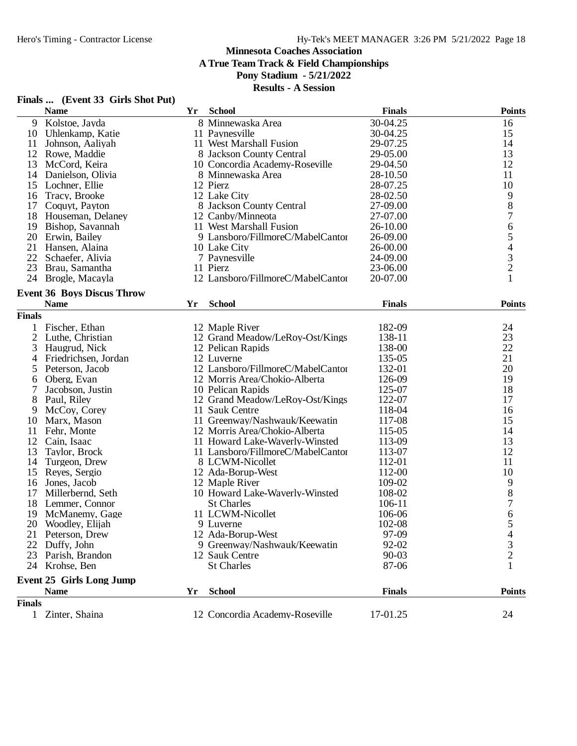**Finals ... (Event 33 Girls Shot Put)**

## **Minnesota Coaches Association**

**A True Team Track & Field Championships**

**Pony Stadium - 5/21/2022**

|                | <b>Name</b>                       | Yr | <b>School</b>                     | <b>Finals</b> | <b>Points</b>                              |
|----------------|-----------------------------------|----|-----------------------------------|---------------|--------------------------------------------|
| 9              | Kolstoe, Jayda                    |    | 8 Minnewaska Area                 | 30-04.25      | 16                                         |
| 10             | Uhlenkamp, Katie                  |    | 11 Paynesville                    | 30-04.25      | 15                                         |
| 11             | Johnson, Aaliyah                  |    | 11 West Marshall Fusion           | 29-07.25      | 14                                         |
| 12             | Rowe, Maddie                      |    | 8 Jackson County Central          | 29-05.00      | 13                                         |
| 13             | McCord, Keira                     |    | 10 Concordia Academy-Roseville    | 29-04.50      | 12                                         |
| 14             | Danielson, Olivia                 |    | 8 Minnewaska Area                 | 28-10.50      | 11                                         |
| 15             | Lochner, Ellie                    |    | 12 Pierz                          | 28-07.25      | 10                                         |
| 16             | Tracy, Brooke                     |    | 12 Lake City                      | 28-02.50      | 9                                          |
| 17             | Coquyt, Payton                    |    | 8 Jackson County Central          | 27-09.00      | 8                                          |
| 18             | Houseman, Delaney                 |    | 12 Canby/Minneota                 | 27-07.00      | $\overline{7}$                             |
| 19             | Bishop, Savannah                  |    | 11 West Marshall Fusion           | 26-10.00      |                                            |
| 20             | Erwin, Bailey                     |    | 9 Lansboro/FillmoreC/MabelCantor  | 26-09.00      | $\begin{array}{c} 6 \\ 5 \end{array}$      |
| 21             | Hansen, Alaina                    |    | 10 Lake City                      | 26-00.00      |                                            |
| 22             | Schaefer, Alivia                  |    | 7 Paynesville                     | 24-09.00      |                                            |
| 23             | Brau, Samantha                    |    | 11 Pierz                          | 23-06.00      | $\begin{array}{c} 4 \\ 3 \\ 2 \end{array}$ |
| 24             | Brogle, Macayla                   |    | 12 Lansboro/FillmoreC/MabelCantor | 20-07.00      | $\mathbf{1}$                               |
|                |                                   |    |                                   |               |                                            |
|                | <b>Event 36 Boys Discus Throw</b> |    |                                   |               |                                            |
|                | <b>Name</b>                       | Yr | <b>School</b>                     | <b>Finals</b> | Points                                     |
| <b>Finals</b>  |                                   |    |                                   |               |                                            |
|                | 1 Fischer, Ethan                  |    | 12 Maple River                    | 182-09        | 24                                         |
| $\overline{2}$ | Luthe, Christian                  |    | 12 Grand Meadow/LeRoy-Ost/Kings   | 138-11        | 23                                         |
| 3              | Haugrud, Nick                     |    | 12 Pelican Rapids                 | 138-00        | 22                                         |
| 4              | Friedrichsen, Jordan              |    | 12 Luverne                        | 135-05        | 21                                         |
| 5              | Peterson, Jacob                   |    | 12 Lansboro/FillmoreC/MabelCantor | 132-01        | 20                                         |
| 6              | Oberg, Evan                       |    | 12 Morris Area/Chokio-Alberta     | 126-09        | 19                                         |
| 7              | Jacobson, Justin                  |    | 10 Pelican Rapids                 | 125-07        | 18                                         |
| 8              | Paul, Riley                       |    | 12 Grand Meadow/LeRoy-Ost/Kings   | 122-07        | 17                                         |
| 9              | McCoy, Corey                      |    | 11 Sauk Centre                    | 118-04        | 16                                         |
| 10             | Marx, Mason                       |    | 11 Greenway/Nashwauk/Keewatin     | 117-08        | 15                                         |
| 11             | Fehr, Monte                       |    | 12 Morris Area/Chokio-Alberta     | 115-05        | 14                                         |
| 12             | Cain, Isaac                       |    | 11 Howard Lake-Waverly-Winsted    | 113-09        | 13                                         |
| 13             | Taylor, Brock                     |    | 11 Lansboro/FillmoreC/MabelCantor | 113-07        | 12                                         |
| 14             | Turgeon, Drew                     |    | 8 LCWM-Nicollet                   | 112-01        | 11                                         |
| 15             | Reyes, Sergio                     |    | 12 Ada-Borup-West                 | 112-00        | 10                                         |
| 16             | Jones, Jacob                      |    | 12 Maple River                    | 109-02        |                                            |
| 17             | Millerbernd, Seth                 |    | 10 Howard Lake-Waverly-Winsted    | 108-02        | $\begin{array}{c} 9 \\ 8 \end{array}$      |
| 18             | Lemmer, Connor                    |    | <b>St Charles</b>                 | 106-11        | $\boldsymbol{7}$                           |
| 19             | McManemy, Gage                    |    | 11 LCWM-Nicollet                  | 106-06        | 6                                          |
| 20             |                                   |    | 9 Luverne                         |               | 5                                          |
|                | Woodley, Elijah                   |    |                                   | 102-08        |                                            |
| 21             | Peterson, Drew                    |    | 12 Ada-Borup-West                 | 97-09         | 4                                          |
| 22             | Duffy, John                       |    | 9 Greenway/Nashwauk/Keewatin      | 92-02         | 3                                          |
| 23             | Parish, Brandon                   |    | 12 Sauk Centre                    | 90-03         | 2                                          |
| 24             | Krohse, Ben                       |    | <b>St Charles</b>                 | 87-06         |                                            |
|                | <b>Event 25 Girls Long Jump</b>   |    |                                   |               |                                            |
|                | <b>Name</b>                       | Yr | <b>School</b>                     | <b>Finals</b> | <b>Points</b>                              |
| <b>Finals</b>  |                                   |    |                                   |               |                                            |
|                | 1 Zinter, Shaina                  |    | 12 Concordia Academy-Roseville    | 17-01.25      | 24                                         |
|                |                                   |    |                                   |               |                                            |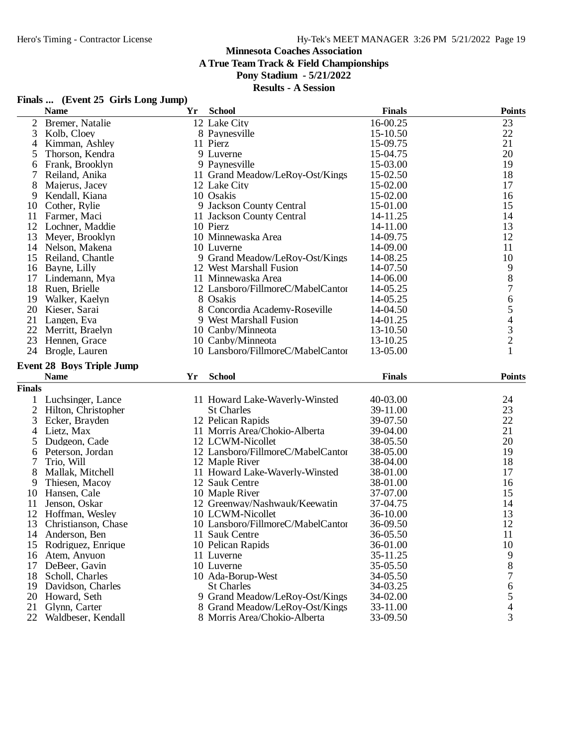**A True Team Track & Field Championships**

## **Pony Stadium - 5/21/2022**

| Finals | (Event 25 Girls Long Jump) |  |  |  |
|--------|----------------------------|--|--|--|
|--------|----------------------------|--|--|--|

|                | <b>Name</b>                         | Yr | <b>School</b>                                                  | <b>Finals</b>        | <b>Points</b>                              |
|----------------|-------------------------------------|----|----------------------------------------------------------------|----------------------|--------------------------------------------|
| 2              | Bremer, Natalie                     |    | 12 Lake City                                                   | 16-00.25             | 23                                         |
| 3              | Kolb, Cloey                         |    | 8 Paynesville                                                  | 15-10.50             | 22                                         |
| 4              | Kimman, Ashley                      |    | 11 Pierz                                                       | 15-09.75             | 21                                         |
| 5              | Thorson, Kendra                     |    | 9 Luverne                                                      | 15-04.75             | 20                                         |
| 6              | Frank, Brooklyn                     |    | 9 Paynesville                                                  | 15-03.00             | 19                                         |
| 7              | Reiland, Anika                      |    | 11 Grand Meadow/LeRoy-Ost/Kings                                | 15-02.50             | 18                                         |
| 8              | Majerus, Jacey                      |    | 12 Lake City                                                   | 15-02.00             | 17                                         |
| 9              | Kendall, Kiana                      |    | 10 Osakis                                                      | 15-02.00             | 16                                         |
| 10             | Cother, Rylie                       |    | 9 Jackson County Central                                       | 15-01.00             | 15                                         |
| 11             | Farmer, Maci                        |    | 11 Jackson County Central                                      | 14-11.25             | 14                                         |
| 12             | Lochner, Maddie                     |    | 10 Pierz                                                       | 14-11.00             | 13                                         |
| 13             | Meyer, Brooklyn                     |    | 10 Minnewaska Area                                             | 14-09.75             | 12                                         |
| 14             | Nelson, Makena                      |    | 10 Luverne                                                     | 14-09.00             | 11                                         |
| 15             | Reiland, Chantle                    |    | 9 Grand Meadow/LeRoy-Ost/Kings                                 | 14-08.25             | 10                                         |
| 16             | Bayne, Lilly                        |    | 12 West Marshall Fusion                                        | 14-07.50             |                                            |
| 17             | Lindemann, Mya                      |    | 11 Minnewaska Area                                             | 14-06.00             | $\begin{array}{c} 9 \\ 8 \end{array}$      |
| 18             | Ruen, Brielle                       |    | 12 Lansboro/FillmoreC/MabelCantor                              | 14-05.25             | $\overline{7}$                             |
| 19             | Walker, Kaelyn                      |    | 8 Osakis                                                       | 14-05.25             | 6                                          |
| 20             | Kieser, Sarai                       |    | 8 Concordia Academy-Roseville                                  | 14-04.50             | 5                                          |
| 21             | Langen, Eva                         |    | 9 West Marshall Fusion                                         | 14-01.25             |                                            |
| 22             | Merritt, Braelyn                    |    | 10 Canby/Minneota                                              | 13-10.50             |                                            |
| 23             | Hennen, Grace                       |    | 10 Canby/Minneota                                              | 13-10.25             | $\begin{array}{c} 4 \\ 3 \\ 2 \end{array}$ |
| 24             | Brogle, Lauren                      |    | 10 Lansboro/FillmoreC/MabelCantor                              | 13-05.00             | $\mathbf{1}$                               |
|                |                                     |    |                                                                |                      |                                            |
|                | <b>Event 28 Boys Triple Jump</b>    |    |                                                                |                      |                                            |
|                |                                     |    |                                                                |                      |                                            |
|                | <b>Name</b>                         | Yr | <b>School</b>                                                  | <b>Finals</b>        | <b>Points</b>                              |
| <b>Finals</b>  |                                     |    |                                                                |                      |                                            |
|                | Luchsinger, Lance                   |    | 11 Howard Lake-Waverly-Winsted                                 | 40-03.00             | 24                                         |
| $\overline{2}$ | Hilton, Christopher                 |    | <b>St Charles</b>                                              | 39-11.00             | 23                                         |
| 3              | Ecker, Brayden                      |    | 12 Pelican Rapids                                              | 39-07.50             | 22                                         |
| 4              | Lietz, Max                          |    | 11 Morris Area/Chokio-Alberta                                  | 39-04.00             | 21                                         |
| 5              | Dudgeon, Cade                       |    | 12 LCWM-Nicollet                                               | 38-05.50             | 20                                         |
| 6              | Peterson, Jordan                    |    | 12 Lansboro/FillmoreC/MabelCantor                              | 38-05.00             | 19                                         |
| 7              | Trio, Will                          |    | 12 Maple River                                                 | 38-04.00             | 18                                         |
| 8              | Mallak, Mitchell                    |    | 11 Howard Lake-Waverly-Winsted                                 | 38-01.00             | 17                                         |
| 9              | Thiesen, Macoy                      |    | 12 Sauk Centre                                                 | 38-01.00             | 16                                         |
| 10             | Hansen, Cale                        |    | 10 Maple River                                                 | 37-07.00             | 15                                         |
| 11             | Jenson, Oskar                       |    | 12 Greenway/Nashwauk/Keewatin                                  | 37-04.75             | 14                                         |
| 12             | Hoffman, Wesley                     |    | 10 LCWM-Nicollet                                               | 36-10.00             | 13                                         |
| 13             | Christianson, Chase                 |    | 10 Lansboro/FillmoreC/MabelCantor                              | 36-09.50             | 12                                         |
| 14             | Anderson, Ben                       |    | 11 Sauk Centre                                                 | 36-05.50             | 11                                         |
| 15             | Rodriguez, Enrique                  |    | 10 Pelican Rapids                                              | 36-01.00             | 10                                         |
| 16             | Atem, Anyuon                        |    | 11 Luverne                                                     | 35-11.25             | 9                                          |
| 17             | DeBeer, Gavin                       |    | 10 Luverne                                                     | 35-05.50             | 8                                          |
| 18             | Scholl, Charles                     |    | 10 Ada-Borup-West                                              | 34-05.50             | 7                                          |
| 19             | Davidson, Charles                   |    | <b>St Charles</b>                                              | 34-03.25             | 6                                          |
| 20             | Howard, Seth                        |    | 9 Grand Meadow/LeRoy-Ost/Kings                                 | 34-02.00             |                                            |
| 21<br>22       | Glynn, Carter<br>Waldbeser, Kendall |    | 8 Grand Meadow/LeRoy-Ost/Kings<br>8 Morris Area/Chokio-Alberta | 33-11.00<br>33-09.50 | $\frac{5}{4}$<br>3                         |